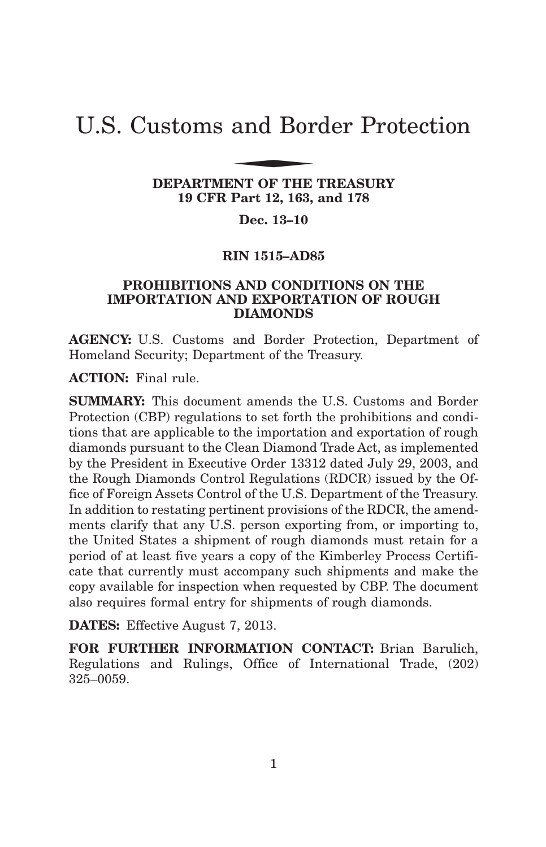# U.S. Customs and Border Protection and Bor

## **DEPARTMENT OF THE TREASURY 19 CFR Part 12, 163, and 178**

## **Dec. 13–10**

## **RIN 1515–AD85**

## **PROHIBITIONS AND CONDITIONS ON THE IMPORTATION AND EXPORTATION OF ROUGH DIAMONDS**

**AGENCY:** U.S. Customs and Border Protection, Department of Homeland Security; Department of the Treasury.

**ACTION:** Final rule.

**SUMMARY:** This document amends the U.S. Customs and Border Protection (CBP) regulations to set forth the prohibitions and conditions that are applicable to the importation and exportation of rough diamonds pursuant to the Clean Diamond Trade Act, as implemented by the President in Executive Order 13312 dated July 29, 2003, and the Rough Diamonds Control Regulations (RDCR) issued by the Office of Foreign Assets Control of the U.S. Department of the Treasury. In addition to restating pertinent provisions of the RDCR, the amendments clarify that any U.S. person exporting from, or importing to, the United States a shipment of rough diamonds must retain for a period of at least five years a copy of the Kimberley Process Certificate that currently must accompany such shipments and make the copy available for inspection when requested by CBP. The document also requires formal entry for shipments of rough diamonds.

**DATES:** Effective August 7, 2013.

**FOR FURTHER INFORMATION CONTACT:** Brian Barulich, Regulations and Rulings, Office of International Trade, (202) 325–0059.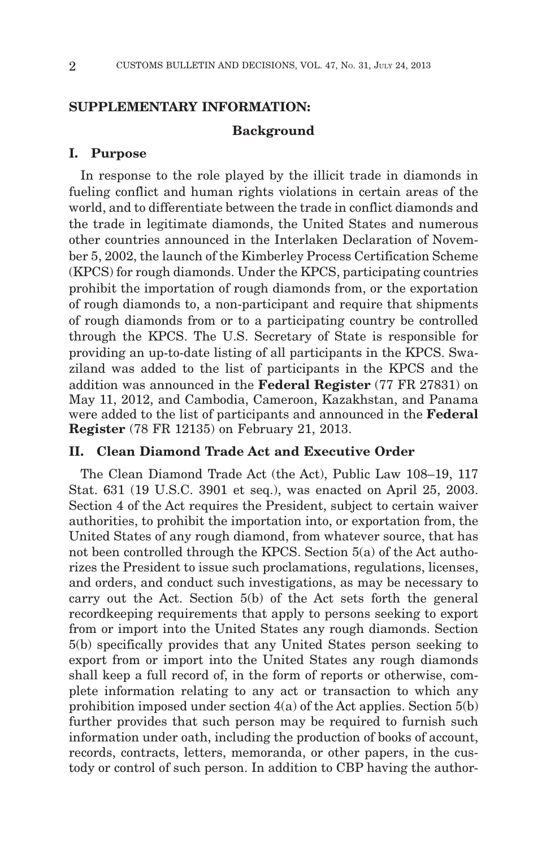## **SUPPLEMENTARY INFORMATION:**

## **Background**

## **I. Purpose**

In response to the role played by the illicit trade in diamonds in fueling conflict and human rights violations in certain areas of the world, and to differentiate between the trade in conflict diamonds and the trade in legitimate diamonds, the United States and numerous other countries announced in the Interlaken Declaration of November 5, 2002, the launch of the Kimberley Process Certification Scheme (KPCS) for rough diamonds. Under the KPCS, participating countries prohibit the importation of rough diamonds from, or the exportation of rough diamonds to, a non-participant and require that shipments of rough diamonds from or to a participating country be controlled through the KPCS. The U.S. Secretary of State is responsible for providing an up-to-date listing of all participants in the KPCS. Swaziland was added to the list of participants in the KPCS and the addition was announced in the **Federal Register** (77 FR 27831) on May 11, 2012, and Cambodia, Cameroon, Kazakhstan, and Panama were added to the list of participants and announced in the **Federal Register** (78 FR 12135) on February 21, 2013.

## **II. Clean Diamond Trade Act and Executive Order**

The Clean Diamond Trade Act (the Act), Public Law 108–19, 117 Stat. 631 (19 U.S.C. 3901 et seq.), was enacted on April 25, 2003. Section 4 of the Act requires the President, subject to certain waiver authorities, to prohibit the importation into, or exportation from, the United States of any rough diamond, from whatever source, that has not been controlled through the KPCS. Section 5(a) of the Act authorizes the President to issue such proclamations, regulations, licenses, and orders, and conduct such investigations, as may be necessary to carry out the Act. Section 5(b) of the Act sets forth the general recordkeeping requirements that apply to persons seeking to export from or import into the United States any rough diamonds. Section 5(b) specifically provides that any United States person seeking to export from or import into the United States any rough diamonds shall keep a full record of, in the form of reports or otherwise, complete information relating to any act or transaction to which any prohibition imposed under section  $4(a)$  of the Act applies. Section  $5(b)$ further provides that such person may be required to furnish such information under oath, including the production of books of account, records, contracts, letters, memoranda, or other papers, in the custody or control of such person. In addition to CBP having the author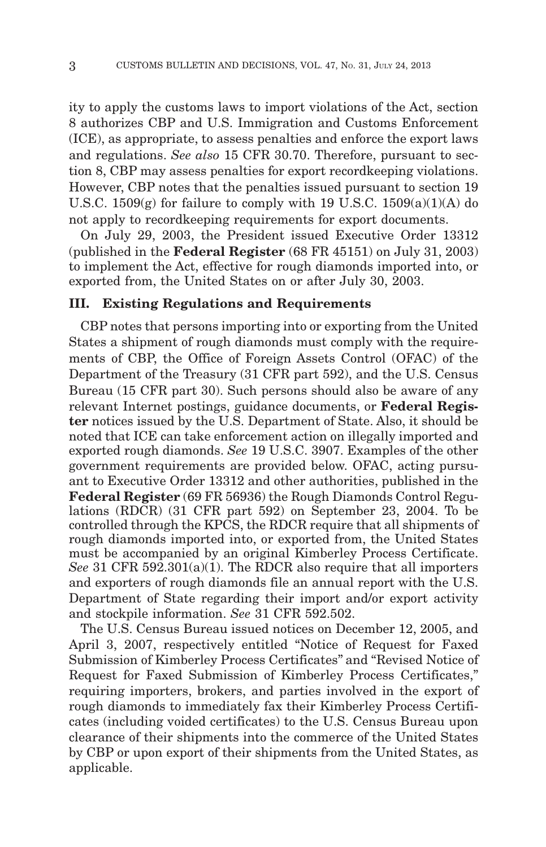ity to apply the customs laws to import violations of the Act, section 8 authorizes CBP and U.S. Immigration and Customs Enforcement (ICE), as appropriate, to assess penalties and enforce the export laws and regulations. *See also* 15 CFR 30.70. Therefore, pursuant to section 8, CBP may assess penalties for export recordkeeping violations. However, CBP notes that the penalties issued pursuant to section 19 U.S.C.  $1509(g)$  for failure to comply with 19 U.S.C.  $1509(a)(1)(A)$  do not apply to recordkeeping requirements for export documents.

On July 29, 2003, the President issued Executive Order 13312 (published in the **Federal Register** (68 FR 45151) on July 31, 2003) to implement the Act, effective for rough diamonds imported into, or exported from, the United States on or after July 30, 2003.

#### **III. Existing Regulations and Requirements**

CBP notes that persons importing into or exporting from the United States a shipment of rough diamonds must comply with the requirements of CBP, the Office of Foreign Assets Control (OFAC) of the Department of the Treasury (31 CFR part 592), and the U.S. Census Bureau (15 CFR part 30). Such persons should also be aware of any relevant Internet postings, guidance documents, or **Federal Register** notices issued by the U.S. Department of State. Also, it should be noted that ICE can take enforcement action on illegally imported and exported rough diamonds. *See* 19 U.S.C. 3907. Examples of the other government requirements are provided below. OFAC, acting pursuant to Executive Order 13312 and other authorities, published in the **Federal Register** (69 FR 56936) the Rough Diamonds Control Regulations (RDCR) (31 CFR part 592) on September 23, 2004. To be controlled through the KPCS, the RDCR require that all shipments of rough diamonds imported into, or exported from, the United States must be accompanied by an original Kimberley Process Certificate. *See* 31 CFR 592.301(a)(1). The RDCR also require that all importers and exporters of rough diamonds file an annual report with the U.S. Department of State regarding their import and/or export activity and stockpile information. *See* 31 CFR 592.502.

The U.S. Census Bureau issued notices on December 12, 2005, and April 3, 2007, respectively entitled ''Notice of Request for Faxed Submission of Kimberley Process Certificates'' and ''Revised Notice of Request for Faxed Submission of Kimberley Process Certificates,'' requiring importers, brokers, and parties involved in the export of rough diamonds to immediately fax their Kimberley Process Certificates (including voided certificates) to the U.S. Census Bureau upon clearance of their shipments into the commerce of the United States by CBP or upon export of their shipments from the United States, as applicable.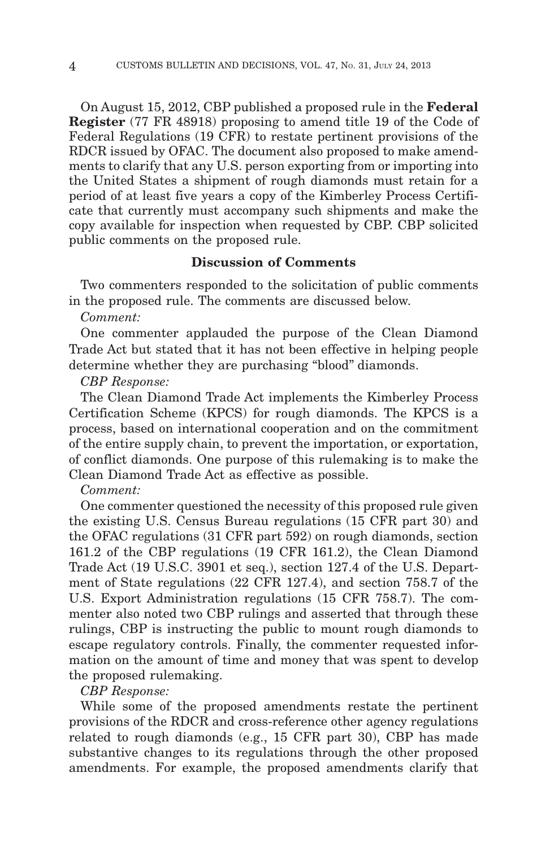On August 15, 2012, CBP published a proposed rule in the **Federal Register** (77 FR 48918) proposing to amend title 19 of the Code of Federal Regulations (19 CFR) to restate pertinent provisions of the RDCR issued by OFAC. The document also proposed to make amendments to clarify that any U.S. person exporting from or importing into the United States a shipment of rough diamonds must retain for a period of at least five years a copy of the Kimberley Process Certificate that currently must accompany such shipments and make the copy available for inspection when requested by CBP. CBP solicited public comments on the proposed rule.

## **Discussion of Comments**

Two commenters responded to the solicitation of public comments in the proposed rule. The comments are discussed below.

## *Comment:*

One commenter applauded the purpose of the Clean Diamond Trade Act but stated that it has not been effective in helping people determine whether they are purchasing ''blood'' diamonds.

#### *CBP Response:*

The Clean Diamond Trade Act implements the Kimberley Process Certification Scheme (KPCS) for rough diamonds. The KPCS is a process, based on international cooperation and on the commitment of the entire supply chain, to prevent the importation, or exportation, of conflict diamonds. One purpose of this rulemaking is to make the Clean Diamond Trade Act as effective as possible.

#### *Comment:*

One commenter questioned the necessity of this proposed rule given the existing U.S. Census Bureau regulations (15 CFR part 30) and the OFAC regulations (31 CFR part 592) on rough diamonds, section 161.2 of the CBP regulations (19 CFR 161.2), the Clean Diamond Trade Act (19 U.S.C. 3901 et seq.), section 127.4 of the U.S. Department of State regulations (22 CFR 127.4), and section 758.7 of the U.S. Export Administration regulations (15 CFR 758.7). The commenter also noted two CBP rulings and asserted that through these rulings, CBP is instructing the public to mount rough diamonds to escape regulatory controls. Finally, the commenter requested information on the amount of time and money that was spent to develop the proposed rulemaking.

## *CBP Response:*

While some of the proposed amendments restate the pertinent provisions of the RDCR and cross-reference other agency regulations related to rough diamonds (e.g., 15 CFR part 30), CBP has made substantive changes to its regulations through the other proposed amendments. For example, the proposed amendments clarify that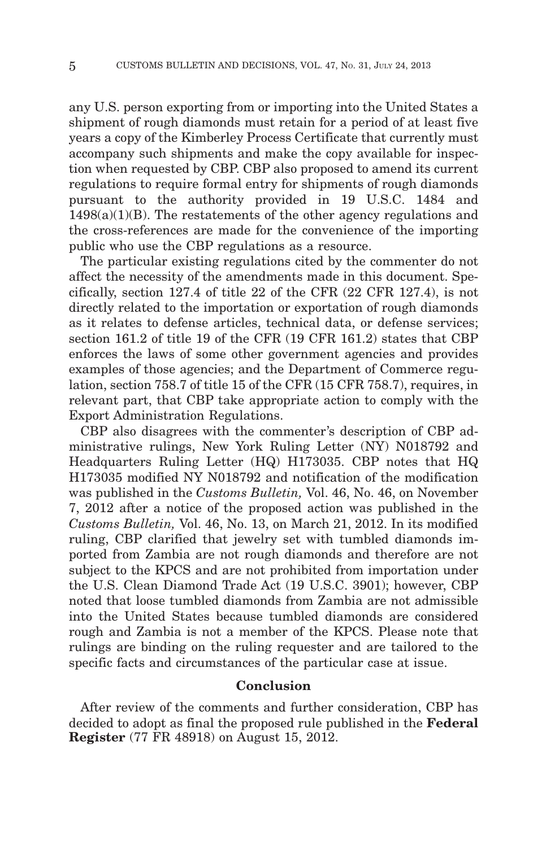any U.S. person exporting from or importing into the United States a shipment of rough diamonds must retain for a period of at least five years a copy of the Kimberley Process Certificate that currently must accompany such shipments and make the copy available for inspection when requested by CBP. CBP also proposed to amend its current regulations to require formal entry for shipments of rough diamonds pursuant to the authority provided in 19 U.S.C. 1484 and  $1498(a)(1)(B)$ . The restatements of the other agency regulations and the cross-references are made for the convenience of the importing public who use the CBP regulations as a resource.

The particular existing regulations cited by the commenter do not affect the necessity of the amendments made in this document. Specifically, section 127.4 of title 22 of the CFR (22 CFR 127.4), is not directly related to the importation or exportation of rough diamonds as it relates to defense articles, technical data, or defense services; section 161.2 of title 19 of the CFR (19 CFR 161.2) states that CBP enforces the laws of some other government agencies and provides examples of those agencies; and the Department of Commerce regulation, section 758.7 of title 15 of the CFR (15 CFR 758.7), requires, in relevant part, that CBP take appropriate action to comply with the Export Administration Regulations.

CBP also disagrees with the commenter's description of CBP administrative rulings, New York Ruling Letter (NY) N018792 and Headquarters Ruling Letter (HQ) H173035. CBP notes that HQ H173035 modified NY N018792 and notification of the modification was published in the *Customs Bulletin,* Vol. 46, No. 46, on November 7, 2012 after a notice of the proposed action was published in the *Customs Bulletin,* Vol. 46, No. 13, on March 21, 2012. In its modified ruling, CBP clarified that jewelry set with tumbled diamonds imported from Zambia are not rough diamonds and therefore are not subject to the KPCS and are not prohibited from importation under the U.S. Clean Diamond Trade Act (19 U.S.C. 3901); however, CBP noted that loose tumbled diamonds from Zambia are not admissible into the United States because tumbled diamonds are considered rough and Zambia is not a member of the KPCS. Please note that rulings are binding on the ruling requester and are tailored to the specific facts and circumstances of the particular case at issue.

## **Conclusion**

After review of the comments and further consideration, CBP has decided to adopt as final the proposed rule published in the **Federal Register** (77 FR 48918) on August 15, 2012.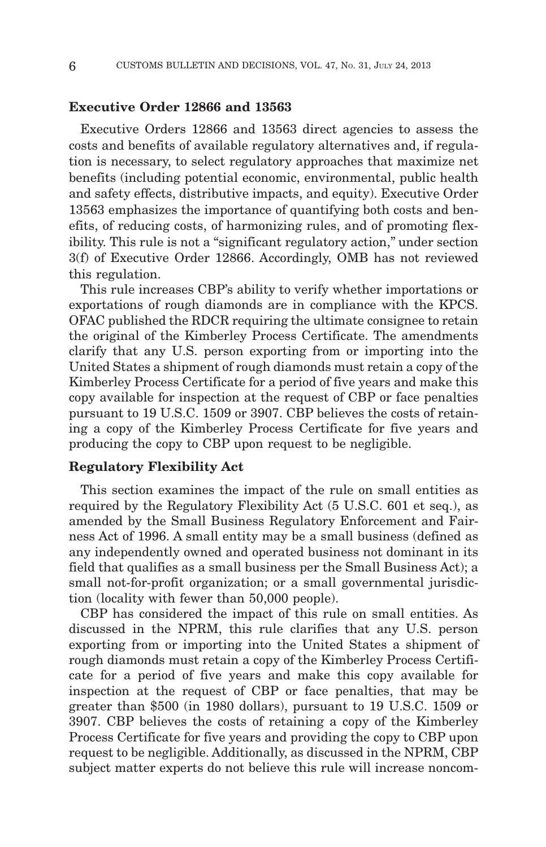#### **Executive Order 12866 and 13563**

Executive Orders 12866 and 13563 direct agencies to assess the costs and benefits of available regulatory alternatives and, if regulation is necessary, to select regulatory approaches that maximize net benefits (including potential economic, environmental, public health and safety effects, distributive impacts, and equity). Executive Order 13563 emphasizes the importance of quantifying both costs and benefits, of reducing costs, of harmonizing rules, and of promoting flexibility. This rule is not a ''significant regulatory action,'' under section 3(f) of Executive Order 12866. Accordingly, OMB has not reviewed this regulation.

This rule increases CBP's ability to verify whether importations or exportations of rough diamonds are in compliance with the KPCS. OFAC published the RDCR requiring the ultimate consignee to retain the original of the Kimberley Process Certificate. The amendments clarify that any U.S. person exporting from or importing into the United States a shipment of rough diamonds must retain a copy of the Kimberley Process Certificate for a period of five years and make this copy available for inspection at the request of CBP or face penalties pursuant to 19 U.S.C. 1509 or 3907. CBP believes the costs of retaining a copy of the Kimberley Process Certificate for five years and producing the copy to CBP upon request to be negligible.

#### **Regulatory Flexibility Act**

This section examines the impact of the rule on small entities as required by the Regulatory Flexibility Act (5 U.S.C. 601 et seq.), as amended by the Small Business Regulatory Enforcement and Fairness Act of 1996. A small entity may be a small business (defined as any independently owned and operated business not dominant in its field that qualifies as a small business per the Small Business Act); a small not-for-profit organization; or a small governmental jurisdiction (locality with fewer than 50,000 people).

CBP has considered the impact of this rule on small entities. As discussed in the NPRM, this rule clarifies that any U.S. person exporting from or importing into the United States a shipment of rough diamonds must retain a copy of the Kimberley Process Certificate for a period of five years and make this copy available for inspection at the request of CBP or face penalties, that may be greater than \$500 (in 1980 dollars), pursuant to 19 U.S.C. 1509 or 3907. CBP believes the costs of retaining a copy of the Kimberley Process Certificate for five years and providing the copy to CBP upon request to be negligible. Additionally, as discussed in the NPRM, CBP subject matter experts do not believe this rule will increase noncom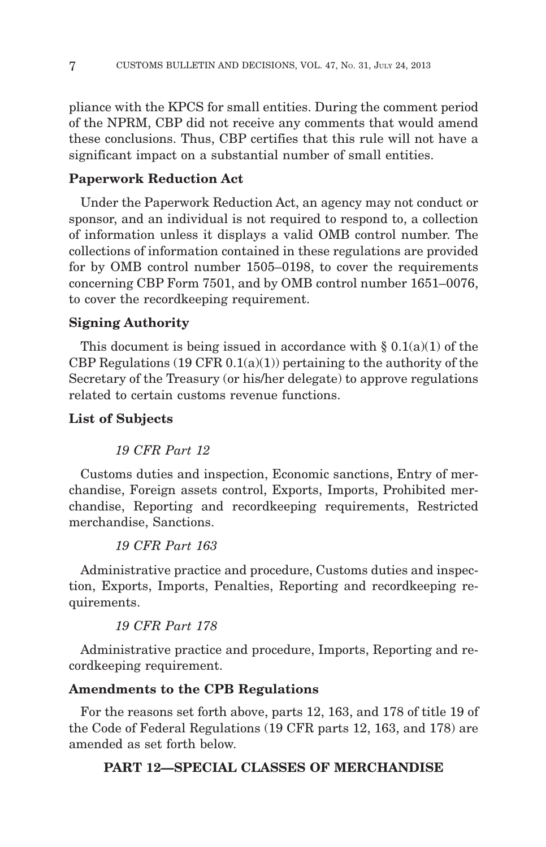pliance with the KPCS for small entities. During the comment period of the NPRM, CBP did not receive any comments that would amend these conclusions. Thus, CBP certifies that this rule will not have a significant impact on a substantial number of small entities.

## **Paperwork Reduction Act**

Under the Paperwork Reduction Act, an agency may not conduct or sponsor, and an individual is not required to respond to, a collection of information unless it displays a valid OMB control number. The collections of information contained in these regulations are provided for by OMB control number 1505–0198, to cover the requirements concerning CBP Form 7501, and by OMB control number 1651–0076, to cover the recordkeeping requirement.

## **Signing Authority**

This document is being issued in accordance with  $\S 0.1(a)(1)$  of the CBP Regulations  $(19 \text{ CFR } 0.1(a)(1))$  pertaining to the authority of the Secretary of the Treasury (or his/her delegate) to approve regulations related to certain customs revenue functions.

## **List of Subjects**

## *19 CFR Part 12*

Customs duties and inspection, Economic sanctions, Entry of merchandise, Foreign assets control, Exports, Imports, Prohibited merchandise, Reporting and recordkeeping requirements, Restricted merchandise, Sanctions.

## *19 CFR Part 163*

Administrative practice and procedure, Customs duties and inspection, Exports, Imports, Penalties, Reporting and recordkeeping requirements.

## *19 CFR Part 178*

Administrative practice and procedure, Imports, Reporting and recordkeeping requirement.

## **Amendments to the CPB Regulations**

For the reasons set forth above, parts 12, 163, and 178 of title 19 of the Code of Federal Regulations (19 CFR parts 12, 163, and 178) are amended as set forth below.

## **PART 12—SPECIAL CLASSES OF MERCHANDISE**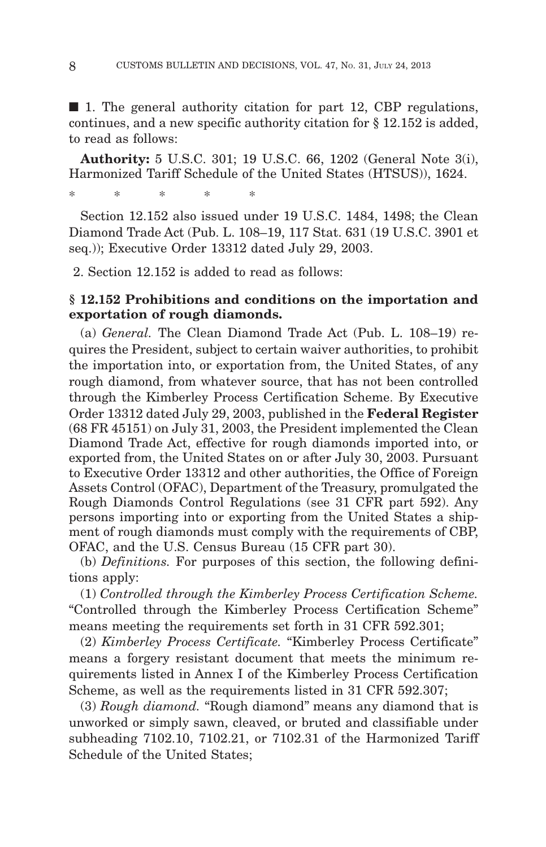■ 1. The general authority citation for part 12, CBP regulations, continues, and a new specific authority citation for § 12.152 is added, to read as follows:

**Authority:** 5 U.S.C. 301; 19 U.S.C. 66, 1202 (General Note 3(i), Harmonized Tariff Schedule of the United States (HTSUS)), 1624.

\*\*\*\*\*

Section 12.152 also issued under 19 U.S.C. 1484, 1498; the Clean Diamond Trade Act (Pub. L. 108–19, 117 Stat. 631 (19 U.S.C. 3901 et seq.)); Executive Order 13312 dated July 29, 2003.

2. Section 12.152 is added to read as follows:

## **§ 12.152 Prohibitions and conditions on the importation and exportation of rough diamonds.**

(a) *General.* The Clean Diamond Trade Act (Pub. L. 108–19) requires the President, subject to certain waiver authorities, to prohibit the importation into, or exportation from, the United States, of any rough diamond, from whatever source, that has not been controlled through the Kimberley Process Certification Scheme. By Executive Order 13312 dated July 29, 2003, published in the **Federal Register** (68 FR 45151) on July 31, 2003, the President implemented the Clean Diamond Trade Act, effective for rough diamonds imported into, or exported from, the United States on or after July 30, 2003. Pursuant to Executive Order 13312 and other authorities, the Office of Foreign Assets Control (OFAC), Department of the Treasury, promulgated the Rough Diamonds Control Regulations (see 31 CFR part 592). Any persons importing into or exporting from the United States a shipment of rough diamonds must comply with the requirements of CBP, OFAC, and the U.S. Census Bureau (15 CFR part 30).

(b) *Definitions.* For purposes of this section, the following definitions apply:

(1) *Controlled through the Kimberley Process Certification Scheme.* ''Controlled through the Kimberley Process Certification Scheme'' means meeting the requirements set forth in 31 CFR 592.301;

(2) *Kimberley Process Certificate.* ''Kimberley Process Certificate'' means a forgery resistant document that meets the minimum requirements listed in Annex I of the Kimberley Process Certification Scheme, as well as the requirements listed in 31 CFR 592.307;

(3) *Rough diamond.* ''Rough diamond'' means any diamond that is unworked or simply sawn, cleaved, or bruted and classifiable under subheading 7102.10, 7102.21, or 7102.31 of the Harmonized Tariff Schedule of the United States;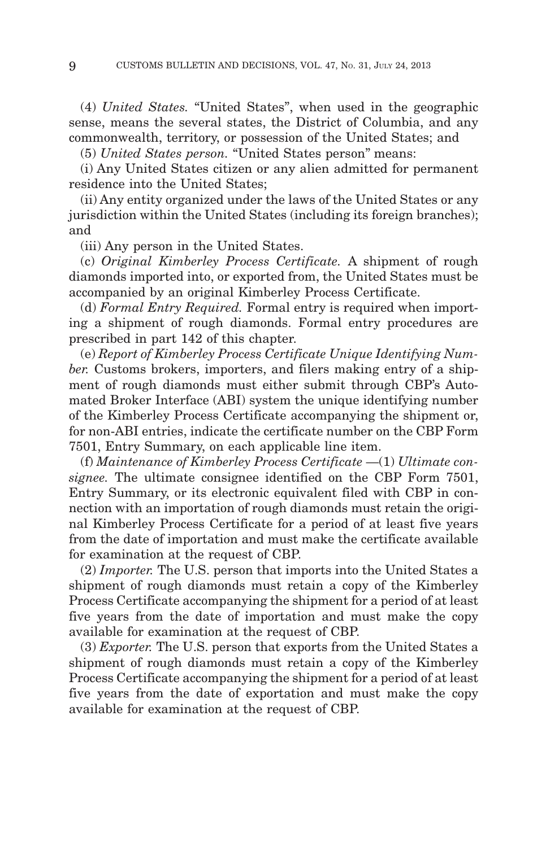(4) *United States.* ''United States'', when used in the geographic sense, means the several states, the District of Columbia, and any commonwealth, territory, or possession of the United States; and

(5) *United States person.* "United States person" means:

(i) Any United States citizen or any alien admitted for permanent residence into the United States;

(ii) Any entity organized under the laws of the United States or any jurisdiction within the United States (including its foreign branches); and

(iii) Any person in the United States.

(c) *Original Kimberley Process Certificate.* A shipment of rough diamonds imported into, or exported from, the United States must be accompanied by an original Kimberley Process Certificate.

(d) *Formal Entry Required.* Formal entry is required when importing a shipment of rough diamonds. Formal entry procedures are prescribed in part 142 of this chapter.

(e) *Report of Kimberley Process Certificate Unique Identifying Number.* Customs brokers, importers, and filers making entry of a shipment of rough diamonds must either submit through CBP's Automated Broker Interface (ABI) system the unique identifying number of the Kimberley Process Certificate accompanying the shipment or, for non-ABI entries, indicate the certificate number on the CBP Form 7501, Entry Summary, on each applicable line item.

(f) *Maintenance of Kimberley Process Certificate* —(1) *Ultimate consignee.* The ultimate consignee identified on the CBP Form 7501, Entry Summary, or its electronic equivalent filed with CBP in connection with an importation of rough diamonds must retain the original Kimberley Process Certificate for a period of at least five years from the date of importation and must make the certificate available for examination at the request of CBP.

(2) *Importer.* The U.S. person that imports into the United States a shipment of rough diamonds must retain a copy of the Kimberley Process Certificate accompanying the shipment for a period of at least five years from the date of importation and must make the copy available for examination at the request of CBP.

(3) *Exporter.* The U.S. person that exports from the United States a shipment of rough diamonds must retain a copy of the Kimberley Process Certificate accompanying the shipment for a period of at least five years from the date of exportation and must make the copy available for examination at the request of CBP.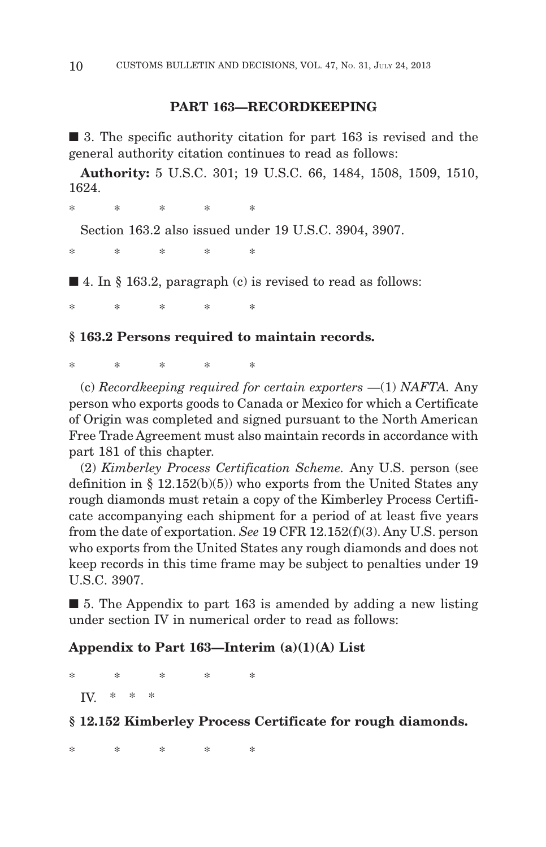## **PART 163—RECORDKEEPING**

■ 3. The specific authority citation for part 163 is revised and the general authority citation continues to read as follows:

**Authority:** 5 U.S.C. 301; 19 U.S.C. 66, 1484, 1508, 1509, 1510, 1624.

\*\*\*\*\*

Section 163.2 also issued under 19 U.S.C. 3904, 3907.

\*\*\*\*\*\*

 $\blacksquare$  4. In § 163.2, paragraph (c) is revised to read as follows:

\*\*\*\*\*

## **§ 163.2 Persons required to maintain records.**

\*\*\*\*\*

(c) *Recordkeeping required for certain exporters* —(1) *NAFTA.* Any person who exports goods to Canada or Mexico for which a Certificate of Origin was completed and signed pursuant to the North American Free Trade Agreement must also maintain records in accordance with part 181 of this chapter.

(2) *Kimberley Process Certification Scheme.* Any U.S. person (see definition in  $\S$  12.152(b)(5)) who exports from the United States any rough diamonds must retain a copy of the Kimberley Process Certificate accompanying each shipment for a period of at least five years from the date of exportation. *See* 19 CFR 12.152(f)(3). Any U.S. person who exports from the United States any rough diamonds and does not keep records in this time frame may be subject to penalties under 19 U.S.C. 3907.

■ 5. The Appendix to part 163 is amended by adding a new listing under section IV in numerical order to read as follows:

## **Appendix to Part 163—Interim (a)(1)(A) List**

\*\*\*\*\* IV  $*$   $*$ 

## **§ 12.152 Kimberley Process Certificate for rough diamonds.**

\*\*\*\*\*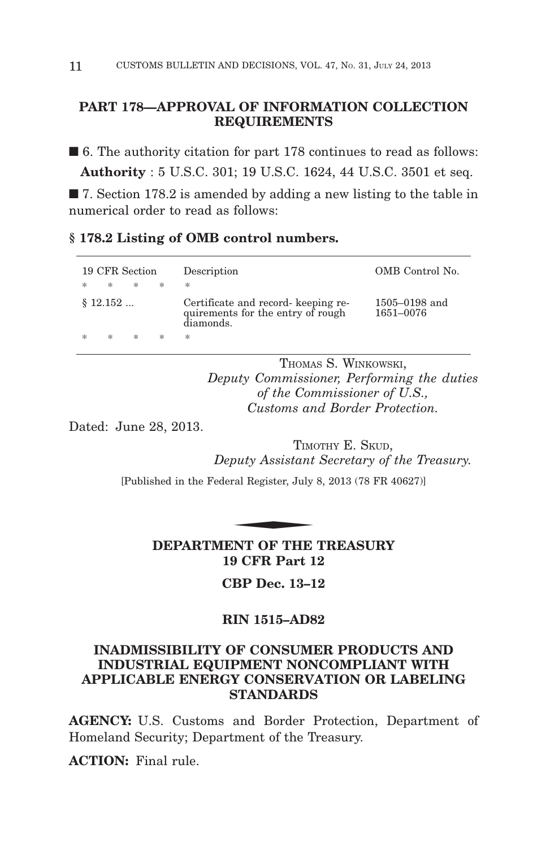## **PART 178—APPROVAL OF INFORMATION COLLECTION REQUIREMENTS**

■ 6. The authority citation for part 178 continues to read as follows: **Authority** : 5 U.S.C. 301; 19 U.S.C. 1624, 44 U.S.C. 3501 et seq.

■ 7. Section 178.2 is amended by adding a new listing to the table in numerical order to read as follows:

## **§ 178.2 Listing of OMB control numbers.**

|     | 19 CFR Section |    |        | Description                                                                           | OMB Control No.                |
|-----|----------------|----|--------|---------------------------------------------------------------------------------------|--------------------------------|
| $*$ | *              | 一家 | $\ast$ | *                                                                                     |                                |
|     | \$12.152       |    |        | Certificate and record- keeping re-<br>quirements for the entry of rough<br>diamonds. | $1505 - 0198$ and<br>1651-0076 |
|     | *              | *  | *      | *                                                                                     |                                |

THOMAS S. WINKOWSKI, *Deputy Commissioner, Performing the duties of the Commissioner of U.S., Customs and Border Protection.*

Dated: June 28, 2013.

TIMOTHY E. SKUD. *Deputy Assistant Secretary of the Treasury.* TIME<br>
puty Assistant<br>
ral Register, July<br>
NAME OF TIME

[Published in the Federal Register, July 8, 2013 (78 FR 40627)]

**DEPARTMENT OF THE TREASURY 19 CFR Part 12**

**CBP Dec. 13–12**

## **RIN 1515–AD82**

## **INADMISSIBILITY OF CONSUMER PRODUCTS AND INDUSTRIAL EQUIPMENT NONCOMPLIANT WITH APPLICABLE ENERGY CONSERVATION OR LABELING STANDARDS**

**AGENCY:** U.S. Customs and Border Protection, Department of Homeland Security; Department of the Treasury.

**ACTION:** Final rule.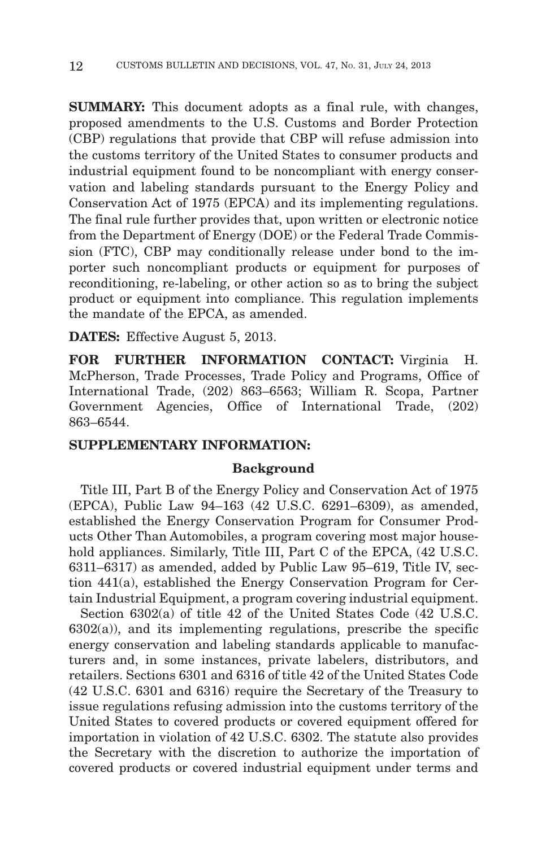**SUMMARY:** This document adopts as a final rule, with changes, proposed amendments to the U.S. Customs and Border Protection (CBP) regulations that provide that CBP will refuse admission into the customs territory of the United States to consumer products and industrial equipment found to be noncompliant with energy conservation and labeling standards pursuant to the Energy Policy and Conservation Act of 1975 (EPCA) and its implementing regulations. The final rule further provides that, upon written or electronic notice from the Department of Energy (DOE) or the Federal Trade Commission (FTC), CBP may conditionally release under bond to the importer such noncompliant products or equipment for purposes of reconditioning, re-labeling, or other action so as to bring the subject product or equipment into compliance. This regulation implements the mandate of the EPCA, as amended.

**DATES:** Effective August 5, 2013.

**FOR FURTHER INFORMATION CONTACT:** Virginia H. McPherson, Trade Processes, Trade Policy and Programs, Office of International Trade, (202) 863–6563; William R. Scopa, Partner Government Agencies, Office of International Trade, (202) 863–6544.

## **SUPPLEMENTARY INFORMATION:**

#### **Background**

Title III, Part B of the Energy Policy and Conservation Act of 1975 (EPCA), Public Law 94–163 (42 U.S.C. 6291–6309), as amended, established the Energy Conservation Program for Consumer Products Other Than Automobiles, a program covering most major household appliances. Similarly, Title III, Part C of the EPCA, (42 U.S.C. 6311–6317) as amended, added by Public Law 95–619, Title IV, section 441(a), established the Energy Conservation Program for Certain Industrial Equipment, a program covering industrial equipment.

Section 6302(a) of title 42 of the United States Code (42 U.S.C.  $6302(a)$ , and its implementing regulations, prescribe the specific energy conservation and labeling standards applicable to manufacturers and, in some instances, private labelers, distributors, and retailers. Sections 6301 and 6316 of title 42 of the United States Code (42 U.S.C. 6301 and 6316) require the Secretary of the Treasury to issue regulations refusing admission into the customs territory of the United States to covered products or covered equipment offered for importation in violation of 42 U.S.C. 6302. The statute also provides the Secretary with the discretion to authorize the importation of covered products or covered industrial equipment under terms and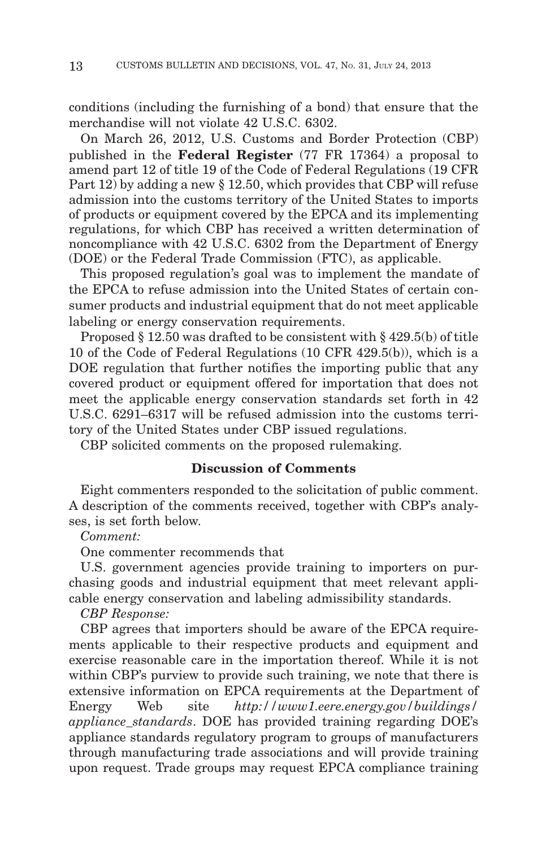conditions (including the furnishing of a bond) that ensure that the merchandise will not violate 42 U.S.C. 6302.

On March 26, 2012, U.S. Customs and Border Protection (CBP) published in the **Federal Register** (77 FR 17364) a proposal to amend part 12 of title 19 of the Code of Federal Regulations (19 CFR Part 12) by adding a new § 12.50, which provides that CBP will refuse admission into the customs territory of the United States to imports of products or equipment covered by the EPCA and its implementing regulations, for which CBP has received a written determination of noncompliance with 42 U.S.C. 6302 from the Department of Energy (DOE) or the Federal Trade Commission (FTC), as applicable.

This proposed regulation's goal was to implement the mandate of the EPCA to refuse admission into the United States of certain consumer products and industrial equipment that do not meet applicable labeling or energy conservation requirements.

Proposed § 12.50 was drafted to be consistent with § 429.5(b) of title 10 of the Code of Federal Regulations (10 CFR 429.5(b)), which is a DOE regulation that further notifies the importing public that any covered product or equipment offered for importation that does not meet the applicable energy conservation standards set forth in 42 U.S.C. 6291–6317 will be refused admission into the customs territory of the United States under CBP issued regulations.

CBP solicited comments on the proposed rulemaking.

## **Discussion of Comments**

Eight commenters responded to the solicitation of public comment. A description of the comments received, together with CBP's analyses, is set forth below.

*Comment:*

One commenter recommends that

U.S. government agencies provide training to importers on purchasing goods and industrial equipment that meet relevant applicable energy conservation and labeling admissibility standards.

*CBP Response:*

CBP agrees that importers should be aware of the EPCA requirements applicable to their respective products and equipment and exercise reasonable care in the importation thereof. While it is not within CBP's purview to provide such training, we note that there is extensive information on EPCA requirements at the Department of Energy Web site *http://www1.eere.energy.gov/buildings/ appliance\_standards*. DOE has provided training regarding DOE's appliance standards regulatory program to groups of manufacturers through manufacturing trade associations and will provide training upon request. Trade groups may request EPCA compliance training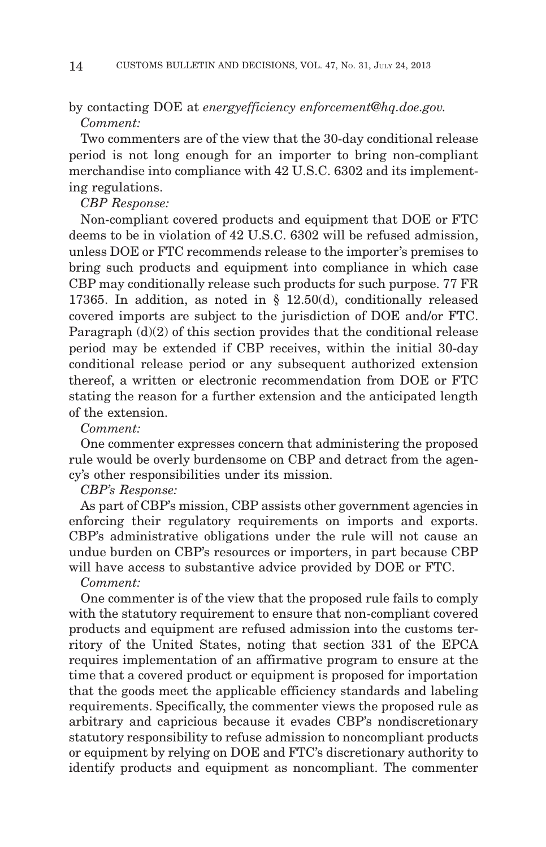## by contacting DOE at *energyefficiency enforcement@hq.doe.gov. Comment:*

Two commenters are of the view that the 30-day conditional release period is not long enough for an importer to bring non-compliant merchandise into compliance with 42 U.S.C. 6302 and its implementing regulations.

#### *CBP Response:*

Non-compliant covered products and equipment that DOE or FTC deems to be in violation of 42 U.S.C. 6302 will be refused admission, unless DOE or FTC recommends release to the importer's premises to bring such products and equipment into compliance in which case CBP may conditionally release such products for such purpose. 77 FR 17365. In addition, as noted in § 12.50(d), conditionally released covered imports are subject to the jurisdiction of DOE and/or FTC. Paragraph  $(d)(2)$  of this section provides that the conditional release period may be extended if CBP receives, within the initial 30-day conditional release period or any subsequent authorized extension thereof, a written or electronic recommendation from DOE or FTC stating the reason for a further extension and the anticipated length of the extension.

## *Comment:*

One commenter expresses concern that administering the proposed rule would be overly burdensome on CBP and detract from the agency's other responsibilities under its mission.

*CBP's Response:*

As part of CBP's mission, CBP assists other government agencies in enforcing their regulatory requirements on imports and exports. CBP's administrative obligations under the rule will not cause an undue burden on CBP's resources or importers, in part because CBP will have access to substantive advice provided by DOE or FTC.

## *Comment:*

One commenter is of the view that the proposed rule fails to comply with the statutory requirement to ensure that non-compliant covered products and equipment are refused admission into the customs territory of the United States, noting that section 331 of the EPCA requires implementation of an affirmative program to ensure at the time that a covered product or equipment is proposed for importation that the goods meet the applicable efficiency standards and labeling requirements. Specifically, the commenter views the proposed rule as arbitrary and capricious because it evades CBP's nondiscretionary statutory responsibility to refuse admission to noncompliant products or equipment by relying on DOE and FTC's discretionary authority to identify products and equipment as noncompliant. The commenter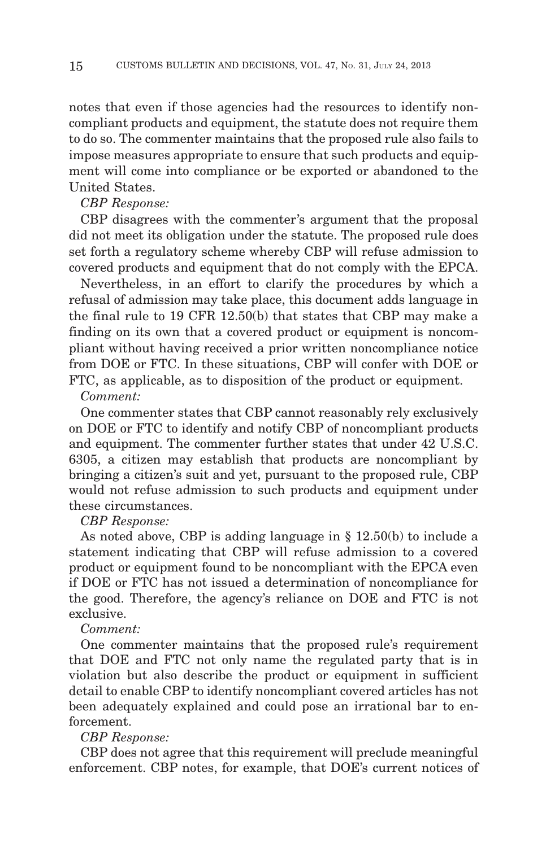notes that even if those agencies had the resources to identify noncompliant products and equipment, the statute does not require them to do so. The commenter maintains that the proposed rule also fails to impose measures appropriate to ensure that such products and equipment will come into compliance or be exported or abandoned to the United States.

#### *CBP Response:*

CBP disagrees with the commenter's argument that the proposal did not meet its obligation under the statute. The proposed rule does set forth a regulatory scheme whereby CBP will refuse admission to covered products and equipment that do not comply with the EPCA.

Nevertheless, in an effort to clarify the procedures by which a refusal of admission may take place, this document adds language in the final rule to 19 CFR 12.50(b) that states that CBP may make a finding on its own that a covered product or equipment is noncompliant without having received a prior written noncompliance notice from DOE or FTC. In these situations, CBP will confer with DOE or FTC, as applicable, as to disposition of the product or equipment.

#### *Comment:*

One commenter states that CBP cannot reasonably rely exclusively on DOE or FTC to identify and notify CBP of noncompliant products and equipment. The commenter further states that under 42 U.S.C. 6305, a citizen may establish that products are noncompliant by bringing a citizen's suit and yet, pursuant to the proposed rule, CBP would not refuse admission to such products and equipment under these circumstances.

#### *CBP Response:*

As noted above, CBP is adding language in § 12.50(b) to include a statement indicating that CBP will refuse admission to a covered product or equipment found to be noncompliant with the EPCA even if DOE or FTC has not issued a determination of noncompliance for the good. Therefore, the agency's reliance on DOE and FTC is not exclusive.

### *Comment:*

One commenter maintains that the proposed rule's requirement that DOE and FTC not only name the regulated party that is in violation but also describe the product or equipment in sufficient detail to enable CBP to identify noncompliant covered articles has not been adequately explained and could pose an irrational bar to enforcement.

## *CBP Response:*

CBP does not agree that this requirement will preclude meaningful enforcement. CBP notes, for example, that DOE's current notices of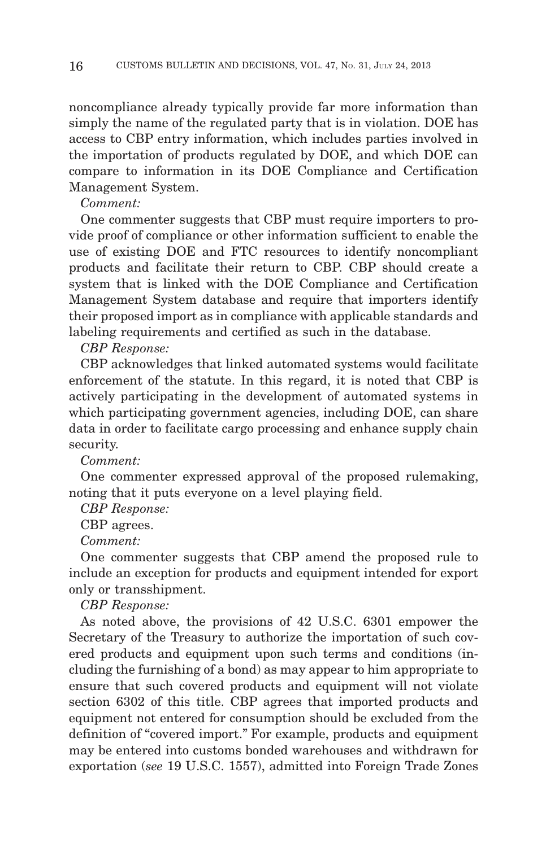noncompliance already typically provide far more information than simply the name of the regulated party that is in violation. DOE has access to CBP entry information, which includes parties involved in the importation of products regulated by DOE, and which DOE can compare to information in its DOE Compliance and Certification Management System.

*Comment:*

One commenter suggests that CBP must require importers to provide proof of compliance or other information sufficient to enable the use of existing DOE and FTC resources to identify noncompliant products and facilitate their return to CBP. CBP should create a system that is linked with the DOE Compliance and Certification Management System database and require that importers identify their proposed import as in compliance with applicable standards and labeling requirements and certified as such in the database.

*CBP Response:*

CBP acknowledges that linked automated systems would facilitate enforcement of the statute. In this regard, it is noted that CBP is actively participating in the development of automated systems in which participating government agencies, including DOE, can share data in order to facilitate cargo processing and enhance supply chain security.

*Comment:*

One commenter expressed approval of the proposed rulemaking, noting that it puts everyone on a level playing field.

*CBP Response:*

CBP agrees.

*Comment:*

One commenter suggests that CBP amend the proposed rule to include an exception for products and equipment intended for export only or transshipment.

*CBP Response:*

As noted above, the provisions of 42 U.S.C. 6301 empower the Secretary of the Treasury to authorize the importation of such covered products and equipment upon such terms and conditions (including the furnishing of a bond) as may appear to him appropriate to ensure that such covered products and equipment will not violate section 6302 of this title. CBP agrees that imported products and equipment not entered for consumption should be excluded from the definition of "covered import." For example, products and equipment may be entered into customs bonded warehouses and withdrawn for exportation (*see* 19 U.S.C. 1557), admitted into Foreign Trade Zones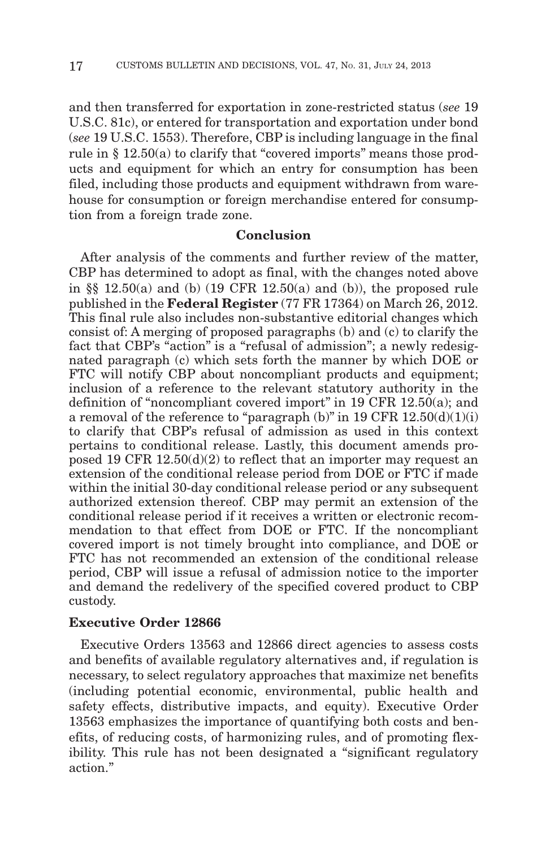and then transferred for exportation in zone-restricted status (*see* 19 U.S.C. 81c), or entered for transportation and exportation under bond (*see* 19 U.S.C. 1553). Therefore, CBP is including language in the final rule in  $\S 12.50(a)$  to clarify that "covered imports" means those products and equipment for which an entry for consumption has been filed, including those products and equipment withdrawn from warehouse for consumption or foreign merchandise entered for consumption from a foreign trade zone.

## **Conclusion**

After analysis of the comments and further review of the matter, CBP has determined to adopt as final, with the changes noted above in  $\S$  12.50(a) and (b) (19 CFR 12.50(a) and (b)), the proposed rule published in the **Federal Register** (77 FR 17364) on March 26, 2012. This final rule also includes non-substantive editorial changes which consist of: A merging of proposed paragraphs (b) and (c) to clarify the fact that CBP's "action" is a "refusal of admission"; a newly redesignated paragraph (c) which sets forth the manner by which DOE or FTC will notify CBP about noncompliant products and equipment; inclusion of a reference to the relevant statutory authority in the definition of ''noncompliant covered import'' in 19 CFR 12.50(a); and a removal of the reference to "paragraph (b)" in 19 CFR 12.50(d)(1)(i) to clarify that CBP's refusal of admission as used in this context pertains to conditional release. Lastly, this document amends proposed 19 CFR 12.50(d)(2) to reflect that an importer may request an extension of the conditional release period from DOE or FTC if made within the initial 30-day conditional release period or any subsequent authorized extension thereof. CBP may permit an extension of the conditional release period if it receives a written or electronic recommendation to that effect from DOE or FTC. If the noncompliant covered import is not timely brought into compliance, and DOE or FTC has not recommended an extension of the conditional release period, CBP will issue a refusal of admission notice to the importer and demand the redelivery of the specified covered product to CBP custody.

#### **Executive Order 12866**

Executive Orders 13563 and 12866 direct agencies to assess costs and benefits of available regulatory alternatives and, if regulation is necessary, to select regulatory approaches that maximize net benefits (including potential economic, environmental, public health and safety effects, distributive impacts, and equity). Executive Order 13563 emphasizes the importance of quantifying both costs and benefits, of reducing costs, of harmonizing rules, and of promoting flexibility. This rule has not been designated a "significant regulatory" action.''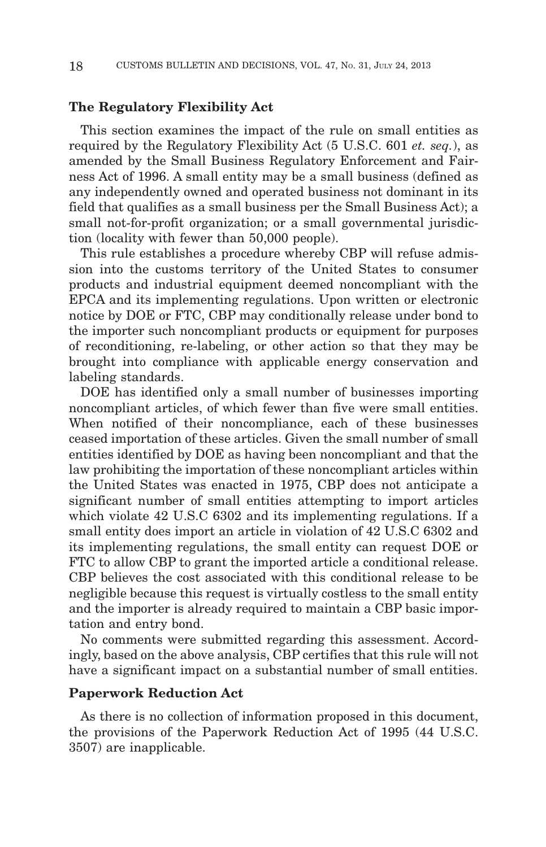## **The Regulatory Flexibility Act**

This section examines the impact of the rule on small entities as required by the Regulatory Flexibility Act (5 U.S.C. 601 *et. seq.*), as amended by the Small Business Regulatory Enforcement and Fairness Act of 1996. A small entity may be a small business (defined as any independently owned and operated business not dominant in its field that qualifies as a small business per the Small Business Act); a small not-for-profit organization; or a small governmental jurisdiction (locality with fewer than 50,000 people).

This rule establishes a procedure whereby CBP will refuse admission into the customs territory of the United States to consumer products and industrial equipment deemed noncompliant with the EPCA and its implementing regulations. Upon written or electronic notice by DOE or FTC, CBP may conditionally release under bond to the importer such noncompliant products or equipment for purposes of reconditioning, re-labeling, or other action so that they may be brought into compliance with applicable energy conservation and labeling standards.

DOE has identified only a small number of businesses importing noncompliant articles, of which fewer than five were small entities. When notified of their noncompliance, each of these businesses ceased importation of these articles. Given the small number of small entities identified by DOE as having been noncompliant and that the law prohibiting the importation of these noncompliant articles within the United States was enacted in 1975, CBP does not anticipate a significant number of small entities attempting to import articles which violate 42 U.S.C 6302 and its implementing regulations. If a small entity does import an article in violation of 42 U.S.C 6302 and its implementing regulations, the small entity can request DOE or FTC to allow CBP to grant the imported article a conditional release. CBP believes the cost associated with this conditional release to be negligible because this request is virtually costless to the small entity and the importer is already required to maintain a CBP basic importation and entry bond.

No comments were submitted regarding this assessment. Accordingly, based on the above analysis, CBP certifies that this rule will not have a significant impact on a substantial number of small entities.

#### **Paperwork Reduction Act**

As there is no collection of information proposed in this document, the provisions of the Paperwork Reduction Act of 1995 (44 U.S.C. 3507) are inapplicable.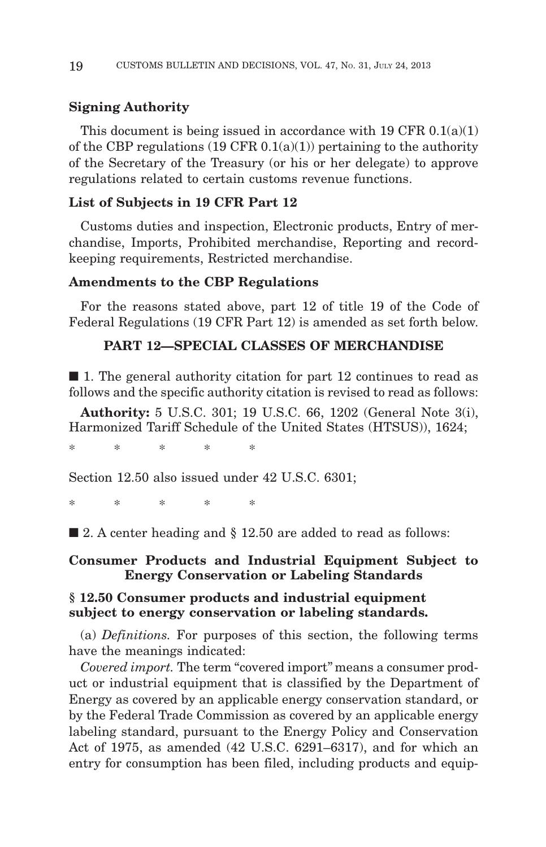## **Signing Authority**

This document is being issued in accordance with  $19 \text{ CFR } 0.1(a)(1)$ of the CBP regulations  $(19 \text{ CFR } 0.1(a)(1))$  pertaining to the authority of the Secretary of the Treasury (or his or her delegate) to approve regulations related to certain customs revenue functions.

### **List of Subjects in 19 CFR Part 12**

Customs duties and inspection, Electronic products, Entry of merchandise, Imports, Prohibited merchandise, Reporting and recordkeeping requirements, Restricted merchandise.

## **Amendments to the CBP Regulations**

For the reasons stated above, part 12 of title 19 of the Code of Federal Regulations (19 CFR Part 12) is amended as set forth below.

## **PART 12—SPECIAL CLASSES OF MERCHANDISE**

 $\blacksquare$  1. The general authority citation for part 12 continues to read as follows and the specific authority citation is revised to read as follows:

**Authority:** 5 U.S.C. 301; 19 U.S.C. 66, 1202 (General Note 3(i), Harmonized Tariff Schedule of the United States (HTSUS)), 1624;

\*\*\*\*\*

Section 12.50 also issued under 42 U.S.C. 6301;

\*\*\*\*\*\*

■ 2. A center heading and § 12.50 are added to read as follows:

## **Consumer Products and Industrial Equipment Subject to Energy Conservation or Labeling Standards**

## **§ 12.50 Consumer products and industrial equipment subject to energy conservation or labeling standards.**

(a) *Definitions.* For purposes of this section, the following terms have the meanings indicated:

Covered import. The term "covered import" means a consumer product or industrial equipment that is classified by the Department of Energy as covered by an applicable energy conservation standard, or by the Federal Trade Commission as covered by an applicable energy labeling standard, pursuant to the Energy Policy and Conservation Act of 1975, as amended (42 U.S.C. 6291–6317), and for which an entry for consumption has been filed, including products and equip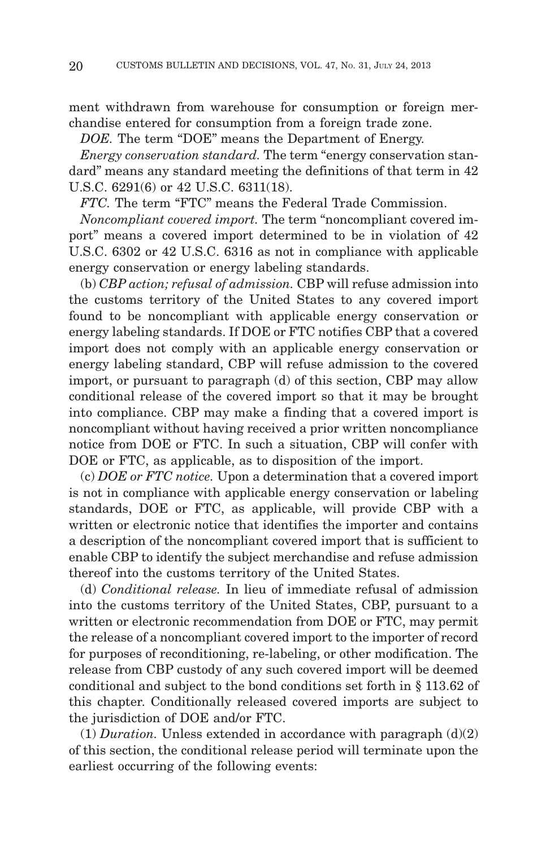ment withdrawn from warehouse for consumption or foreign merchandise entered for consumption from a foreign trade zone.

*DOE.* The term "DOE" means the Department of Energy.

*Energy conservation standard.* The term ''energy conservation standard'' means any standard meeting the definitions of that term in 42 U.S.C. 6291(6) or 42 U.S.C. 6311(18).

FTC. The term "FTC" means the Federal Trade Commission.

*Noncompliant covered import.* The term ''noncompliant covered import'' means a covered import determined to be in violation of 42 U.S.C. 6302 or 42 U.S.C. 6316 as not in compliance with applicable energy conservation or energy labeling standards.

(b) *CBP action; refusal of admission.* CBP will refuse admission into the customs territory of the United States to any covered import found to be noncompliant with applicable energy conservation or energy labeling standards. If DOE or FTC notifies CBP that a covered import does not comply with an applicable energy conservation or energy labeling standard, CBP will refuse admission to the covered import, or pursuant to paragraph (d) of this section, CBP may allow conditional release of the covered import so that it may be brought into compliance. CBP may make a finding that a covered import is noncompliant without having received a prior written noncompliance notice from DOE or FTC. In such a situation, CBP will confer with DOE or FTC, as applicable, as to disposition of the import.

(c) *DOE or FTC notice.* Upon a determination that a covered import is not in compliance with applicable energy conservation or labeling standards, DOE or FTC, as applicable, will provide CBP with a written or electronic notice that identifies the importer and contains a description of the noncompliant covered import that is sufficient to enable CBP to identify the subject merchandise and refuse admission thereof into the customs territory of the United States.

(d) *Conditional release.* In lieu of immediate refusal of admission into the customs territory of the United States, CBP, pursuant to a written or electronic recommendation from DOE or FTC, may permit the release of a noncompliant covered import to the importer of record for purposes of reconditioning, re-labeling, or other modification. The release from CBP custody of any such covered import will be deemed conditional and subject to the bond conditions set forth in § 113.62 of this chapter. Conditionally released covered imports are subject to the jurisdiction of DOE and/or FTC.

(1) *Duration.* Unless extended in accordance with paragraph (d)(2) of this section, the conditional release period will terminate upon the earliest occurring of the following events: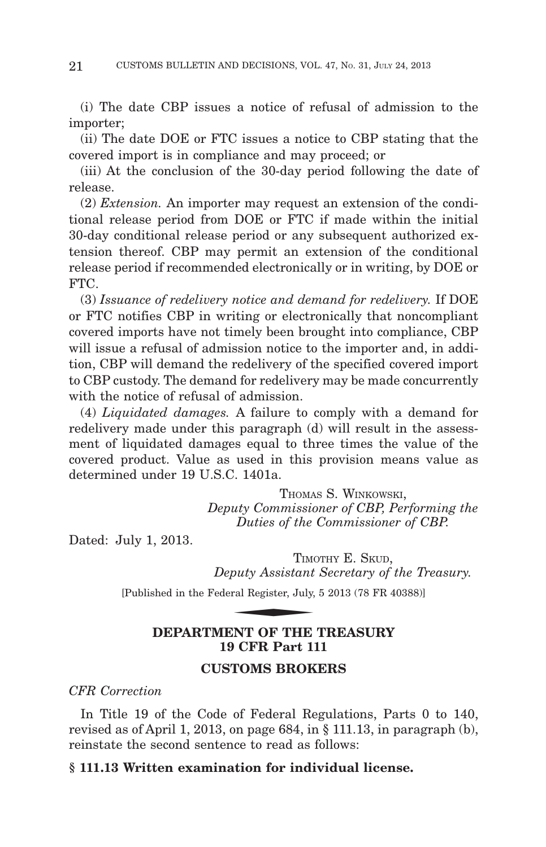(i) The date CBP issues a notice of refusal of admission to the importer;

(ii) The date DOE or FTC issues a notice to CBP stating that the covered import is in compliance and may proceed; or

(iii) At the conclusion of the 30-day period following the date of release.

(2) *Extension.* An importer may request an extension of the conditional release period from DOE or FTC if made within the initial 30-day conditional release period or any subsequent authorized extension thereof. CBP may permit an extension of the conditional release period if recommended electronically or in writing, by DOE or FTC.

(3) *Issuance of redelivery notice and demand for redelivery.* If DOE or FTC notifies CBP in writing or electronically that noncompliant covered imports have not timely been brought into compliance, CBP will issue a refusal of admission notice to the importer and, in addition, CBP will demand the redelivery of the specified covered import to CBP custody. The demand for redelivery may be made concurrently with the notice of refusal of admission.

(4) *Liquidated damages.* A failure to comply with a demand for redelivery made under this paragraph (d) will result in the assessment of liquidated damages equal to three times the value of the covered product. Value as used in this provision means value as determined under 19 U.S.C. 1401a.

> THOMAS S. WINKOWSKI, *Deputy Commissioner of CBP, Performing the Duties of the Commissioner of CBP.*

Dated: July 1, 2013.

TIMOTHY E. SKUD. *Deputy Assistant Secretary of the Treasury.* Duttes of the<br>TIME<br>puty Assistant<br>ral Register, July,<br>NNT OF THE

[Published in the Federal Register, July, 5 2013 (78 FR 40388)]

## **DEPARTMENT OF THE TREASURY 19 CFR Part 111**

## **CUSTOMS BROKERS**

*CFR Correction*

In Title 19 of the Code of Federal Regulations, Parts 0 to 140, revised as of April 1, 2013, on page 684, in § 111.13, in paragraph (b), reinstate the second sentence to read as follows:

## **§ 111.13 Written examination for individual license.**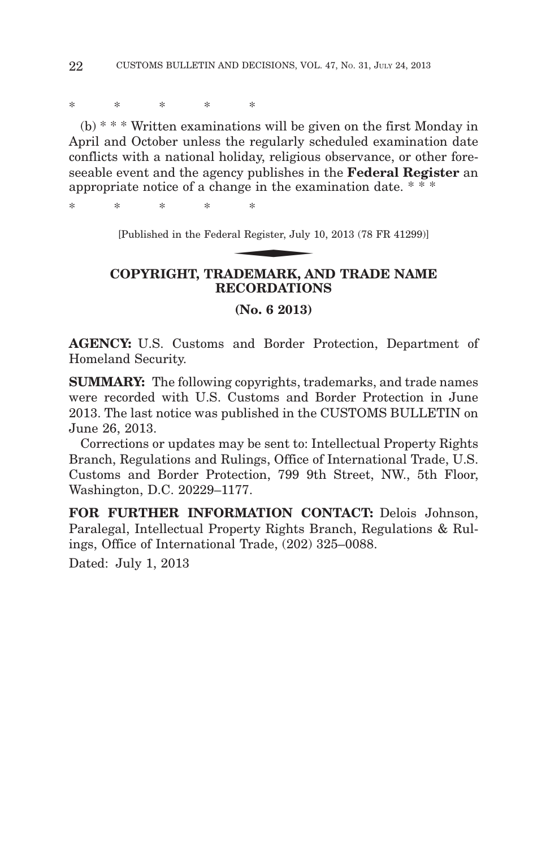\*\*\*\*\*

(b) \* \* \* Written examinations will be given on the first Monday in April and October unless the regularly scheduled examination date conflicts with a national holiday, religious observance, or other foreseeable event and the agency publishes in the **Federal Register** an appropriate notice of a change in the examination date. \*\*\* cy publishes in<br>mge in the exa:<br>\*<br>al Register, July 1<br>DEMAPK Al

\*\*\*\*\*

[Published in the Federal Register, July 10, 2013 (78 FR 41299)]

## **COPYRIGHT, TRADEMARK, AND TRADE NAME RECORDATIONS**

**(No. 6 2013)**

**AGENCY:** U.S. Customs and Border Protection, Department of Homeland Security.

**SUMMARY:** The following copyrights, trademarks, and trade names were recorded with U.S. Customs and Border Protection in June 2013. The last notice was published in the CUSTOMS BULLETIN on June 26, 2013.

Corrections or updates may be sent to: Intellectual Property Rights Branch, Regulations and Rulings, Office of International Trade, U.S. Customs and Border Protection, 799 9th Street, NW., 5th Floor, Washington, D.C. 20229–1177.

**FOR FURTHER INFORMATION CONTACT:** Delois Johnson, Paralegal, Intellectual Property Rights Branch, Regulations & Rulings, Office of International Trade, (202) 325–0088.

Dated: July 1, 2013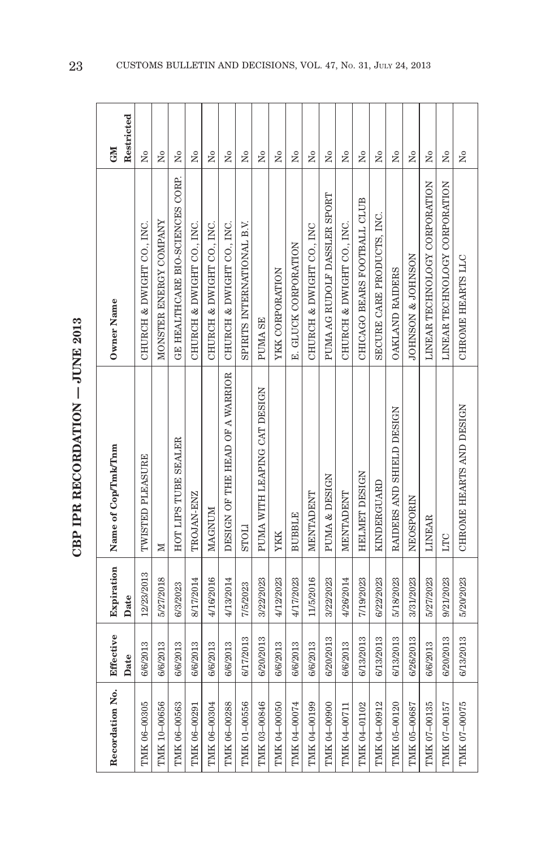| Š<br> <br> <br> <br> <br>֧֧֧֧֧֧֧֧֧֧֦֧֧֧֧֧֧֧֧֧֧֧֧֧֧֧֛֓֟֟֓֝֬֟֓֝֬֟֓֟֓֝֬֟֓֝֬֝֓֝֬֝֬֝֬֝֬֟֓֝֬֝֬֝֬֟֓֝֬֝֬֓֬֓֬֝֬֓֓֬֓֬֝֬֝֬ |  |
|-----------------------------------------------------------------------------------------------------------------|--|
|                                                                                                                 |  |
| ì<br>トークストーー                                                                                                    |  |
| ł                                                                                                               |  |
|                                                                                                                 |  |

| Recordation No. | Effective<br>Date | Expiration<br>Date | Name of Cop/Tmk/Tnm             | Owner Name                       | Restricted<br><b>GMI</b> |
|-----------------|-------------------|--------------------|---------------------------------|----------------------------------|--------------------------|
| TMK 06-00305    | 6/6/2013          | 12/23/2013         | TWISTED PLEASURE                | CHURCH & DWIGHT CO., INC.        | Χo                       |
| TMK 10-00656    | 6/6/2013          | 5/27/2018          | ×                               | MONSTER ENERGY COMPANY           | Σò                       |
| TMK 06-00563    | 6/6/2013          | 6/3/2023           | HOT LIPS TUBE SEALER            | GE HEALTHCARE BIO-SCIENCES CORP. | $\tilde{z}$              |
| TMK 06-00291    | 6/6/2013          | 8/17/2014          | TROJAN-ENZ                      | CHURCH & DWIGHT CO., INC.        | Σó                       |
| TMK 06-00304    | 6/6/2013          | 4/16/2016          | MAGNUM                          | CHURCH & DWIGHT CO., INC.        | Σó                       |
| TMK 06-00288    | 6/6/2013          | 4/13/2014          | DESIGN OF THE HEAD OF A WARRIOR | CHURCH & DWIGHT CO., INC.        | Χo                       |
| TMIK 01-00556   | 6/17/2013         | 7/5/2023           | <b>LIOTIS</b>                   | SPIRITS INTERNATIONAL B.V.       | $\overline{a}$           |
| TMK 03-00846    | 6/20/2013         | 3/22/2023          | PUMA WITH LEAPING CAT DESIGN    | PUMA SE                          | ż                        |
| TMK 04-00050    | 6/6/2013          | 4/12/2023          | <b>YKK</b>                      | YKK CORPORATION                  | Σò                       |
| TMK 04-00074    | 6/6/2013          | 4/17/2023          | <b>BUBBLE</b>                   | E. GLUCK CORPORATION             | $\overline{R}$           |
| TMK 04-00199    | 6/6/2013          | 11/5/2016          | <b>MENTADENT</b>                | CHURCH & DWIGHT CO., INC         | Σó                       |
| TMK 04-00900    | 6/20/2013         | 3/22/2023          | PUMA & DESIGN                   | PUMA AG RUDOLF DASSLER SPORT     | ż                        |
| TMK 04-00711    | 6/6/2013          | 4/26/2014          | MENTADENT                       | CHURCH & DWIGHT CO., INC.        | Χo                       |
| TMK 04-01102    | 6/13/2013         | 7/19/2023          | HELMET DESIGN                   | CHICAGO BEARS FOOTBALL CLUB      | $\tilde{\mathbf{z}}$     |
| TMK 04-00912    | 6/13/2013         | 6/22/2023          | KINDERGUARD                     | SECURE CARE PRODUCTS, INC.       | Σó                       |
| TMK 05-00120    | 6/13/2013         | 5/18/2023          | RAIDERS AND SHIELD DESIGN       | OAKLAND RAIDERS                  | Χo                       |
| TMIK 05-00687   | 6/26/2013         | 3/31/2023          | NEOSPORIN                       | JOHNSON & JOHNSON                | $\overline{N}$           |
| TMK 07-00135    | 6/6/2013          | 5/27/2023          | <b>LINEAR</b>                   | LINEAR TECHNOLOGY CORPORATION    | Σó                       |
| TMIK 07-00157   | 6/20/2013         | 9/21/2023          | LTC                             | LINEAR TECHNOLOGY CORPORATION    | ż                        |
| TMK 07-00075    | 6/13/2013         | 5/20/2023          | CHROME HEARTS AND DESIGN        | CHROME HEARTS LLC                | ž                        |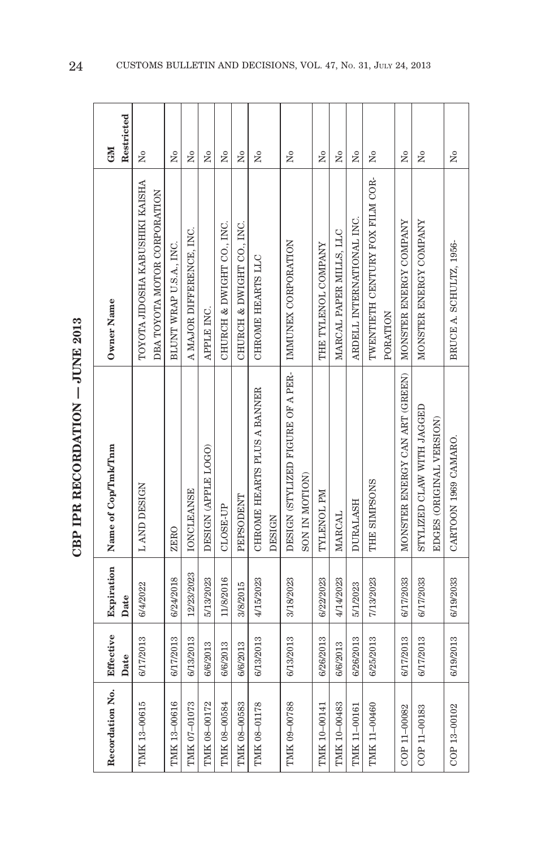| s<br>C                   |
|--------------------------|
| $\frac{1}{2}$<br>اد<br>د |
| .<br>.<br>.<br>j         |
| こしくて じょう                 |
|                          |
|                          |

 $\infty$ 

| Recordation No. | Effective<br>Date | Expiration<br>Date | Name of Cop/Tmk/Tnm                                   | Owner Name                                                      | Restricted<br><b>NEO</b> |
|-----------------|-------------------|--------------------|-------------------------------------------------------|-----------------------------------------------------------------|--------------------------|
| TMK 13-00615    | 6/17/2013         | 6/4/2022           | L AND DESIGN                                          | TOYOTA JIDOSHA KABUSHIKI KAISHA<br>DBA TOYOTA MOTOR CORPORATION | $\tilde{\mathbf{z}}$     |
| TMK 13-00616    | 6/17/2013         | 6/24/2018          | ZERO                                                  | BLUNT WRAP U.S.A., INC.                                         | $\tilde{X}^{\circ}$      |
| TMK 07-01073    | 6/13/2013         | 12/23/2023         | <b>IONCLEANSE</b>                                     | A MAJOR DIFFERENCE, INC.                                        | ż                        |
| TMK 08-00172    | 6/6/2013          | 5/13/2023          | DESIGN (APPLE LOGO)                                   | APPLE INC.                                                      | Σó                       |
| TMK 08-00584    | 6/6/2013          | 11/8/2016          | $CLOSE-UP$                                            | CHURCH & DWIGHT CO., INC.                                       | Σò                       |
| TMK 08-00583    | 6/6/2013          | 3/8/2015           | <b>PEPSODENT</b>                                      | CHURCH & DWIGHT CO., INC.                                       | ż                        |
| TMK 08-01178    | 6/13/2013         | 4/15/2023          | CHROME HEARTS PLUS A BANNER<br><b>DESIGN</b>          | CHROME HEARTS LLC                                               | $\tilde{\mathbf{z}}$     |
| TMK 09-00788    | 6/13/2013         | 3/18/2023          | DESIGN (STYLIZED FIGURE OF A PER-<br>SON IN MOTION)   | IMMUNEX CORPORATION                                             | $\tilde{\mathbf{z}}$     |
| TMK 10-00141    | 6/26/2013         | 6/22/2023          | TYLENOL PM                                            | THE TYLENOL COMPANY                                             | Σó                       |
| TMK 10-00483    | 6/6/2013          | 4/14/2023          | <b>MARCAL</b>                                         | MARCAL PAPER MILLS, LLC                                         | Σò                       |
| TMK 11-00161    | 6/26/2013         | 5/1/2023           | <b>DURALASH</b>                                       | ARDELL INTERNATIONAL INC.                                       | $\tilde{\mathbf{X}}$     |
| TMK 11-00460    | 6/25/2013         | 7/13/2023          | THE SIMPSONS                                          | TWENTIETH CENTURY FOX FILM COR-<br>PORATION                     | ż                        |
| COP 11-00082    | 6/17/2013         | 6/17/2033          | MONSTER ENERGY CAN ART (GREEN)                        | MONSTER ENERGY COMPANY                                          | Σó                       |
| COP 11-00183    | 6/17/2013         | 6/17/2033          | STYLIZED CLAW WITH JAGGED<br>EDGES (ORIGINAL VERSION) | MONSTER ENERGY COMPANY                                          | Σ°                       |
| COP 13-00102    | 6/19/2013         | 6/19/2033          | CARTOON 1969 CAMARO.                                  | BRUCE A. SCHULTZ, 1956-                                         | $\tilde{Z}$              |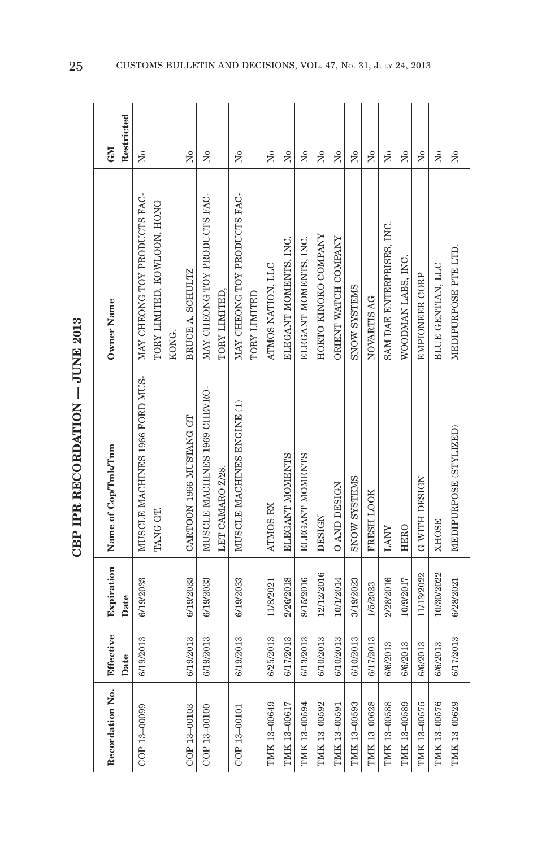| $\frac{1}{2}$                      |
|------------------------------------|
| <b>TTNIE</b><br>≝ינט               |
|                                    |
| $\lambda$ m $\lambda$ as $\lambda$ |
| nmoonn.                            |
| Ē<br>i                             |
| Equ                                |

| Recordation No. | Effective<br>Date | Expiration<br>Date | Name of Cop/Tmk/Tnm                        | Owner Name                                                  | Restricted<br>GM     |
|-----------------|-------------------|--------------------|--------------------------------------------|-------------------------------------------------------------|----------------------|
| COP 13-00099    | 6/19/2013         | 6/19/2033          | MUSCLE MACHINES 1966 FORD MUS-<br>TANG GT. | MAY CHEONG TOY PRODUCTS FAC-<br>TORY LIMITED, KOWLOON, HONG | $\tilde{\mathbf{z}}$ |
|                 |                   |                    |                                            | KONG.                                                       |                      |
| COP 13-00103    | 6/19/2013         | 6/19/2033          | CARTOON 1966 MUSTANG GT                    | BRUCE A. SCHULTZ                                            | Σó                   |
| COP 13-00100    | 6/19/2013         | 6/19/2033          | MUSCLE MACHINES 1969 CHEVRO-               | MAY CHEONG TOY PRODUCTS FAC-                                | ż                    |
|                 |                   |                    | LET CAMARO Z/28.                           | TORY LIMITED,                                               |                      |
| COP 13-00101    | 6/19/2013         | 6/19/2033          | MUSCLE MACHINES ENGINE (1)                 | MAY CHEONG TOY PRODUCTS FAC-                                | $\tilde{\mathbf{z}}$ |
|                 |                   |                    |                                            | TORY LIMITED                                                |                      |
| TMK 13-00649    | 6/25/2013         | 11/8/2021          | ATMOS RX                                   | ATMOS NATION, LLC                                           | Σó                   |
| TMK 13-00617    | 6/17/2013         | 2/26/2018          | ELEGANT MOMENTS                            | ELEGANT MOMENTS, INC.                                       | Σó                   |
| TMK 13-00594    | 6/13/2013         | 8/15/2016          | ELEGANT MOMENTS                            | ELEGANT MOMENTS, INC.                                       | Σò                   |
| TMK 13-00592    | 6/10/2013         | 12/12/2016         | DESIGN                                     | HOKTO KINOKO COMPANY                                        | $\overline{M}$       |
| TMK 13-00591    | 6/10/2013         | 10/1/2014          | <b>O AND DESIGN</b>                        | ORIENT WATCH COMPANY                                        | Σò                   |
| TMK 13-00593    | 6/10/2013         | 3/19/2023          | <b>SNOW SYSTEMS</b>                        | <b>SNOW SYSTEMS</b>                                         | Σó                   |
| TMK 13-00628    | 6/17/2013         | 1/5/2023           | FRESH LOOK                                 | NOVARTIS AG                                                 | $\overline{R}$       |
| TMK 13-00588    | 6/6/2013          | 2/28/2016          | <b>LANY</b>                                | SAM DAE ENTERPRISES, INC.                                   | Σò                   |
| TMK 13-00589    | 6/6/2013          | 10/9/2017          | HERO                                       | WOODMAN LABS, INC.                                          | Σó                   |
| TMK 13-00575    | 6/6/2013          | 11/13/2022         | G WITH DESIGN                              | EMPIONEER CORP                                              | Χo                   |
| TMK 13-00576    | 6/6/2013          | 10/30/2022         | <b>XHOSE</b>                               | BLUE GENTIAN, LLC                                           | $\tilde{\rm X}^0$    |
| TMK 13-00629    | 6/17/2013         | 6/28/2021          | MEDIPURPOSE (STYLIZED)                     | MEDIPURPOSE PTE LTD.                                        | $\tilde{\mathbf{z}}$ |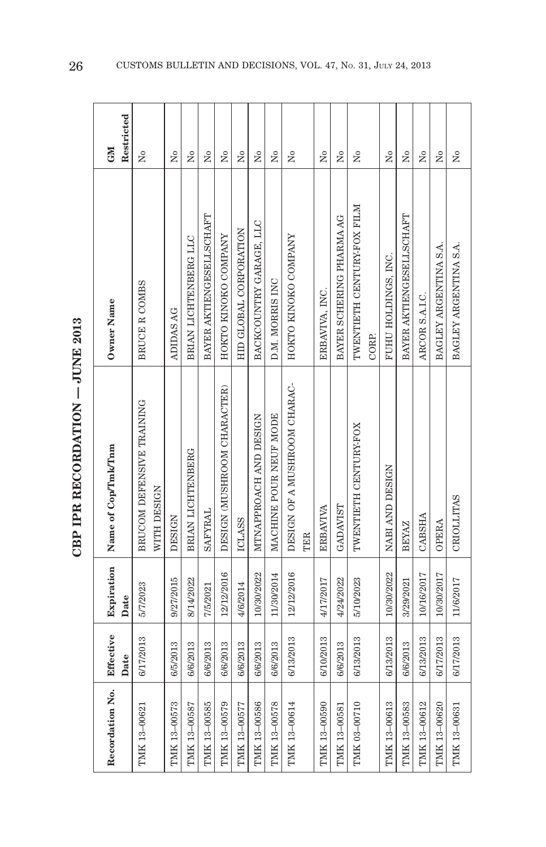| ا<br>ا<br> <br> <br> <br>\$ |
|-----------------------------|
|                             |
|                             |
|                             |
| ć                           |

| Recordation No. | Effective<br>Date | Expiration<br>Date | Name of Cop/Imk/Inm                      | Owner Name                 | Restricted<br><b>GMI</b> |
|-----------------|-------------------|--------------------|------------------------------------------|----------------------------|--------------------------|
| TMK 13-00621    | 6/17/2013         | 5/7/2023           | BRUCOM DEFENSIVE TRAINING<br>WITH DESIGN | BRUCE R COMBS              | $\overline{a}$           |
| TMK 13-00573    | 6/5/2013          | 9/27/2015          | <b>DESIGN</b>                            | ADIDAS AG                  | Σó                       |
| TMK 13-00587    | 6/6/2013          | 8/14/2022          | BRIAN LICHTENBERG                        | BRIAN LICHTENBERG LLC      | Σò                       |
| TMK 13-00585    | 6/6/2013          | 7/5/2021           | <b>SAFYRAL</b>                           | BAYER AKTIENGESELLSCHAFT   | $\overline{R}$           |
| TMK 13-00579    | 6/6/2013          | 12/12/2016         | DESIGN (MUSHROOM CHARACTER)              | HOKTO KINOKO COMPANY       | Σò                       |
| TMK 13-00577    | 6/6/2013          | 4/6/2014           | <b>ICLASS</b>                            | HID GLOBAL CORPORATION     | Σò                       |
| TMK 13-00586    | 6/6/2013          | 10/30/2022         | MTNAPPROACH AND DESIGN                   | BACKCOUNTRY GARAGE, LLC    | $\overline{R}$           |
| TMK 13-00578    | 6/6/2013          | 11/30/2014         | MACHINE POUR NEUF MODE                   | D.M. MORRIS INC            | $\tilde{\rm X}^0$        |
| TMK 13-00614    | 6/13/2013         | 12/12/2016         | DESIGN OF A MUSHROOM CHARAC-             | HOKTO KINOKO COMPANY       | $\tilde{X}^{\circ}$      |
|                 |                   |                    | <b>TER</b>                               |                            |                          |
| TMK 13-00590    | 6/10/2013         | 4/17/2017          | <b>ERBAVIVA</b>                          | ERBAVIVA, INC.             | Σò                       |
| TMK 13-00581    | 6/6/2013          | 4/24/2022          | GADAVIST                                 | BAYER SCHERING PHARMA AG   | $\tilde{\mathbf{z}}$     |
| TMK 03-00710    | 6/13/2013         | 5/10/2023          | TWENTIETH CENTURY-FOX                    | TWENTIETH CENTURY-FOX FILM | Σò                       |
|                 |                   |                    |                                          | CORP.                      |                          |
| TMK 13-00613    | 6/13/2013         | 10/30/2022         | NABI AND DESIGN                          | FUHU HOLDINGS, INC.        | $\tilde{\mathbf{z}}$     |
| TMK 13-00583    | 6/6/2013          | 3/29/2021          | <b>BEYAZ</b>                             | BAYER AKTIENGESELLSCHAFT   | $\tilde{\mathbf{z}}$     |
| TMK 13-00612    | 6/13/2013         | 10/16/2017         | <b>CABSHA</b>                            | ARCOR S.A.I.C.             | $\overline{M}$           |
| TMK 13-00620    | 6/17/2013         | 10/30/2017         | <b>OPERA</b>                             | BAGLEY ARGENTINA S.A.      | $\tilde{\mathbf{z}}$     |
| TMK 13-00631    | 6/17/2013         | 11/6/2017          | <b>CRIOLLITAS</b>                        | BAGLEY ARGENTINA S.A.      | Σò                       |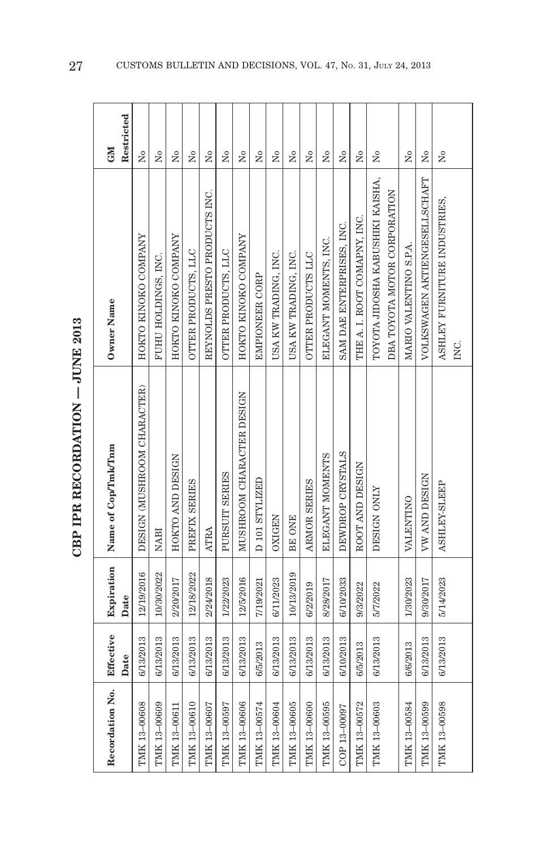| i<br> <br> <br> <br> |
|----------------------|
|                      |
| ドくてドロ                |
| j                    |
|                      |

| Recordation No. | Effective<br>Date | Expiration<br>Date | Name of Cop/Tmk/Tnm         | Owner Name                       | Restricted<br><b>GM</b> |
|-----------------|-------------------|--------------------|-----------------------------|----------------------------------|-------------------------|
| TMK 13-00608    | 6/13/2013         | 12/19/2016         | DESIGN (MUSHROOM CHARACTER) | HOKTO KINOKO COMPANY             | $\tilde{X}^{\circ}$     |
| TMK 13-00609    | 6/13/2013         | 10/30/2022         | <b>NABI</b>                 | FUHU HOLDINGS, INC.              | $\tilde{X}^{\circ}$     |
| TMK 13-00611    | 6/13/2013         | 2/20/2017          | HOKTO AND DESIGN            | HOKTO KINOKO COMPANY             | Σò                      |
| TMK 13-00610    | 6/13/2013         | 12/18/2022         | PREFIX SERIES               | OTTER PRODUCTS, LLC              | $\tilde{\mathbf{z}}$    |
| TMK 13-00607    | 6/13/2013         | 2/24/2018          | <b>ATRA</b>                 | REYNOLDS PRESTO PRODUCTS INC.    | Σò                      |
| TMK 13-00597    | 6/13/2013         | 1/22/2023          | PURSUIT SERIES              | OTTER PRODUCTS, LLC              | $\tilde{\mathbf{z}}$    |
| TMK 13-00606    | 6/13/2013         | 12/5/2016          | MUSHROOM CHARACTER DESIGN   | HOKTO KINOKO COMPANY             | $\tilde{X}^{\circ}$     |
| TMK 13-00574    | 6/5/2013          | 7/19/2021          | D 101 STYLIZED              | EMPIONEER CORP                   | $\overline{N}$          |
| TMK 13-00604    | 6/13/2013         | 6/11/2023          | <b>OXIGEN</b>               | USA KW TRADING, INC.             | $\tilde{X}^{\circ}$     |
| TMK 13-00605    | 6/13/2013         | 10/13/2019         | BE ONE                      | USA KW TRADING, INC.             | Σò                      |
| TMK 13-00600    | 6/13/2013         | 6/2/2019           | ARMOR SERIES                | OTTER PRODUCTS LLC               | $\tilde{\mathbf{z}}$    |
| TMK 13-00595    | 6/13/2013         | 8/28/2017          | ELEGANT MOMENTS             | ELEGANT MOMENTS, INC.            | $\tilde{X}^{\circ}$     |
| COP 13-00097    | 6/10/2013         | 6/10/2033          | DEWDROP CRYSTALS            | SAM DAE ENTERPRISES, INC.        | $\overline{a}$          |
| TMK 13-00572    | 6/5/2013          | 9/3/2022           | ROOT AND DESIGN             | THE A. I. ROOT COMAPNY, INC.     | $\tilde{X}^{\circ}$     |
| TMK 13-00603    | 6/13/2013         | 5/7/2022           | DESIGN ONLY                 | TOYOTA JIDOSHA KABUSHIKI KAISHA, | Σò                      |
|                 |                   |                    |                             | DBA TOYOTA MOTOR CORPORATION     |                         |
| TMK 13-00584    | 6/6/2013          | 1/30/2023          | VALENTINO                   | MARIO VALENTINO S.P.A.           | $\tilde{\mathbf{z}}$    |
| TMK 13-00599    | 6/13/2013         | 9/30/2017          | <b>VW AND DESIGN</b>        | VOLKSWAGEN AKTIENGESELLSCHAFT    | Σò                      |
| TMK 13-00598    | 6/13/2013         | 5/14/2023          | ASHLEY-SLEEP                | ASHLEY FURNITURE INDUSTRIES,     | Σò                      |
|                 |                   |                    |                             | INC.                             |                         |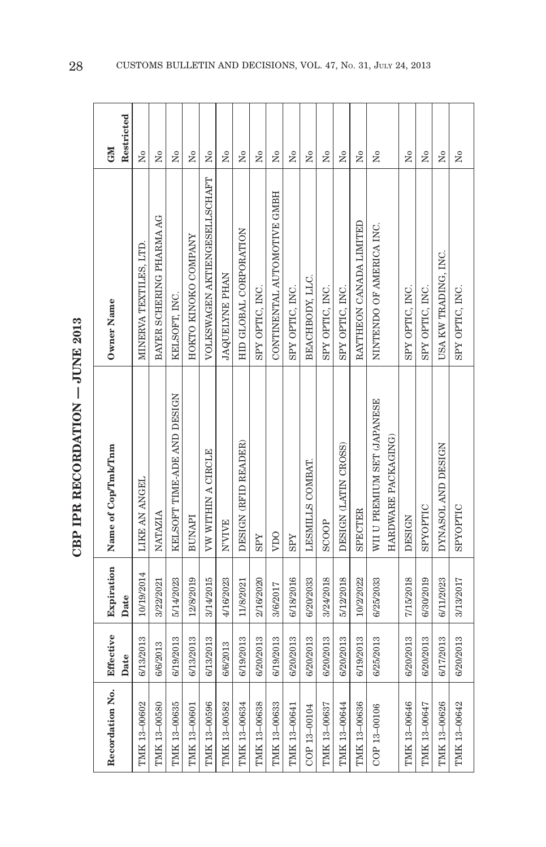| ć<br>j    |
|-----------|
| 「トロくていしょう |
|           |

| Recordation No. | Effective<br>Date | Expiration<br>Date | Name of Cop/Tmk/Tnm         | Owner Name                    | Restricted<br>GM     |
|-----------------|-------------------|--------------------|-----------------------------|-------------------------------|----------------------|
| TMK 13-00602    | 6/13/2013         | 10/19/2014         | LIKE AN ANGEL               | MINERVA TEXTILES, LTD         | $\tilde{X}^{\circ}$  |
| TMK 13-00580    | 6/6/2013          | 3/22/2021          | NATAZIA                     | BAYER SCHERING PHARMA AG      | $\tilde{\mathbf{z}}$ |
| TMK 13-00635    | 6/19/2013         | 5/14/2023          | KELSOFT TIME-ADE AND DESIGN | KELSOFT, INC.                 | Σó                   |
| TMK 13-00601    | 6/13/2013         | 12/8/2019          | <b>BUNAPI</b>               | HOKTO KINOKO COMPANY          | ż                    |
| TMK 13-00596    | 6/13/2013         | 3/14/2015          | VW WITHIN A CIRCLE          | VOLKSWAGEN AKTIENGESELLSCHAFT | Σó                   |
| TMK 13-00582    | 6/6/2013          | 4/16/2023          | <b>NVIVE</b>                | JAQUELYNE PHAN                | $\tilde{\rm X}^0$    |
| TMK 13-00634    | 6/19/2013         | 11/8/2021          | DESIGN (RFID READER)        | HID GLOBAL CORPORATION        | ż                    |
| TMK 13-00638    | 6/20/2013         | 2/16/2020          | <b>SPY</b>                  | SPY OPTIC, INC.               | Σó                   |
| TMK 13-00633    | 6/19/2013         | 3/6/2017           | VDO                         | CONTINENTAL AUTOMOTIVE GMBH   | Σó                   |
| TMK 13-00641    | 6/20/2013         | 6/18/2016          | <b>SPY</b>                  | SPY OPTIC, INC.               | Σó                   |
| COP 13-00104    | 6/20/2013         | 6/20/2033          | LESMILLS COMBAT             | BEACHBODY, LLC.               | $\tilde{\mathbf{z}}$ |
| TMK 13-00637    | 6/20/2013         | 3/24/2018          | <b>SCOOP</b>                | SPY OPTIC, INC.               | Σó                   |
| TMK 13-00644    | 6/20/2013         | 5/12/2018          | DESIGN (LATIN CROSS)        | SPY OPTIC, INC.               | $\tilde{\mathbf{z}}$ |
| TMK 13-00636    | 6/19/2013         | 10/2/2022          | <b>SPECTER</b>              | RAYTHEON CANADA LIMITED       | $\tilde{\mathbf{z}}$ |
| COP 13-00106    | 6/25/2013         | 6/25/2033          | WII U PREMIUM SET (JAPANESE | NINTENDO OF AMERICA INC.      | Σò                   |
|                 |                   |                    | HARDWARE PACKAGING)         |                               |                      |
| TMK 13-00646    | 6/20/2013         | 7/15/2018          | DESIGN                      | SPY OPTIC, INC.               | $\tilde{\mathbf{z}}$ |
| TMK 13-00647    | 6/20/2013         | 6/30/2019          | SPYOPTIC                    | SPY OPTIC, INC.               | Σ°                   |
| TMK 13-00626    | 6/17/2013         | 6/11/2023          | DYNASOL AND DESIGN          | USA KW TRADING, INC.          | $\tilde{\mathbf{z}}$ |
| TMK 13-00642    | 6/20/2013         | 3/13/2017          | SPYOPTIC                    | SPY OPTIC, INC.               | Σò                   |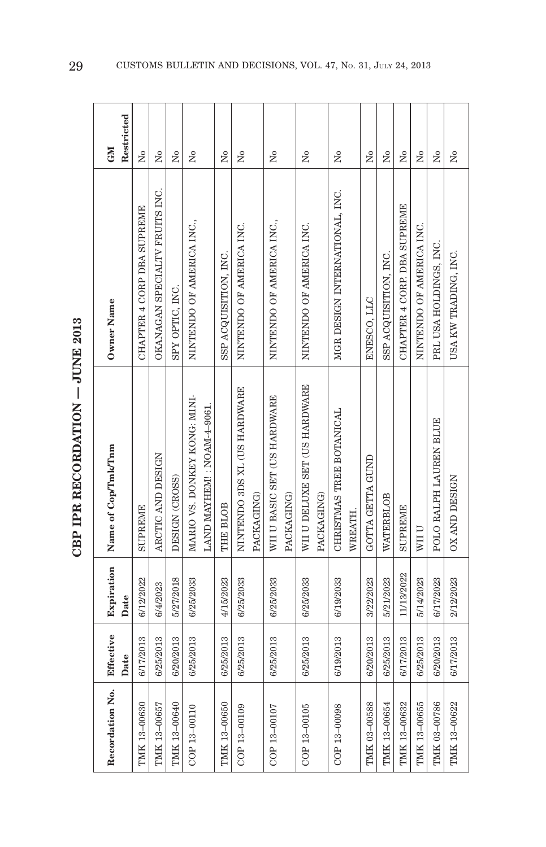| i<br> <br> <br> <br> |
|----------------------|
|                      |
| ドくてドロ                |
| j                    |
|                      |

| Recordation No. | Effective<br>Date | Expiration<br>Date | Name of Cop/Tmk/Tnm           | <b>Owner Name</b>              | Restricted<br>GM     |
|-----------------|-------------------|--------------------|-------------------------------|--------------------------------|----------------------|
| TMK 13-00630    | 6/17/2013         | 6/12/2022          | <b>SUPREME</b>                | CHAPTER 4 CORP DBA SUPREME     | Χo                   |
| TMK 13-00657    | 6/25/2013         | 6/4/2023           | ARCTIC AND DESIGN             | OKANAGAN SPECIALTV FRUITS INC. | Σó                   |
| TMK 13-00640    | 6/20/2013         | 5/27/2018          | DESIGN (CROSS)                | SPY OPTIC, INC.                | Σò                   |
| COP 13-00110    | 6/25/2013         | 6/25/2033          | MARIO VS. DONKEY KONG: MINI-  | NINTENDO OF AMERICA INC.,      | $\tilde{\mathbf{X}}$ |
|                 |                   |                    | LAND MAYHEM!: NOAM-4-9061.    |                                |                      |
| TMK 13-00650    | 6/25/2013         | 4/15/2023          | THE BLOB                      | SSP ACQUISITION, INC.          | Σó                   |
| COP 13-00109    | 6/25/2013         | 6/25/2033          | NINTENDO 3DS XL (US HARDWARE  | NINTENDO OF AMERICA INC.       | Σò                   |
|                 |                   |                    | PACKAGING)                    |                                |                      |
| COP 13-00107    | 6/25/2013         | 6/25/2033          | WII U BASIC SET (US HARDWARE  | NINTENDO OF AMERICA INC.,      | ż                    |
|                 |                   |                    | PACKAGING)                    |                                |                      |
| COP 13-00105    | 6/25/2013         | 6/25/2033          | WII U DELUXE SET (US HARDWARE | NINTENDO OF AMERICA INC.       | ż                    |
|                 |                   |                    | PACKAGING)                    |                                |                      |
| COP 13-00098    | 6/19/2013         | 6/19/2033          | CHRISTMAS TREE BOTANICAL      | MGR DESIGN INTERNATIONAL, INC. | $\tilde{\mathbf{z}}$ |
|                 |                   |                    | WREATH.                       |                                |                      |
| TMK 03-00588    | 6/20/2013         | 3/22/2023          | GOTTA GETTA GUND              | ENESCO, LLC                    | Σó                   |
| TMK 13-00654    | 6/25/2013         | 5/21/2023          | WATERBLOB                     | SSP ACQUISITION, INC.          | Σò                   |
| TMK 13-00632    | 6/17/2013         | 11/13/2022         | <b>SUPREME</b>                | CHAPTER 4 CORP. DBA SUPREME    | $\tilde{X}^{\circ}$  |
| TMK 13-00655    | 6/25/2013         | 5/14/2023          | WII U                         | NINTENDO OF AMERICA INC.       | Σó                   |
| TMK 03-00786    | 6/20/2013         | 6/17/2023          | POLO RALPH LAUREN BLUE        | PRL USA HOLDINGS, INC.         | ż                    |
| TMK 13-00622    | 6/17/2013         | 2/12/2023          | OX AND DESIGN                 | USA KW TRADING, INC.           | ż                    |
|                 |                   |                    |                               |                                |                      |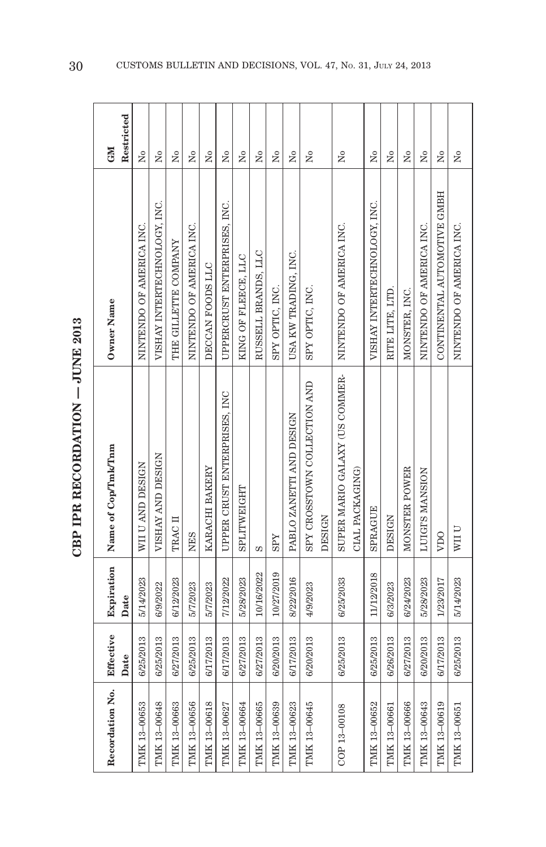| ć<br>Ĵ<br>٦ |
|-------------|
| ・イークストイ     |
| ł           |

| Recordation No. | Effective<br>Date | Expiration<br>Date | Name of Cop/Tmk/Tnm                    | Owner Name                   | Restricted<br>GM     |
|-----------------|-------------------|--------------------|----------------------------------------|------------------------------|----------------------|
| TMK 13-00653    | 6/25/2013         | 5/14/2023          | WII U AND DESIGN                       | NINTENDO OF AMERICA INC.     | $\overline{M}$       |
| TMK 13-00648    | 6/25/2013         | 6/9/2022           | VISHAY AND DESIGN                      | VISHAY INTERTECHNOLOGY, INC. | $\overline{R}$       |
| TMK 13-00663    | 6/27/2013         | 6/12/2023          | TRAC II                                | THE GILLETTE COMPANY         | Σó                   |
| TMK 13-00656    | 6/25/2013         | 5/7/2023           | <b>NES</b>                             | NINTENDO OF AMERICA INC.     | $\tilde{\mathbf{z}}$ |
| TMK 13-00618    | 6/17/2013         | 5/7/2023           | KARACHI BAKERY                         | DECCAN FOODS LLC             | $\tilde{X}^{\circ}$  |
| TMK 13-00627    | 6/17/2013         | 7/12/2022          | UPPER CRUST ENTERPRISES, INC           | UPPERCRUST ENTERPRISES, INC. | Σó                   |
| TMK 13-00664    | 6/27/2013         | 5/28/2023          | SPLITWEIGHT                            | KING OF FLEECE, LLC          | $\tilde{X}^{\circ}$  |
| TMK 13-00665    | 6/27/2013         | 10/16/2022         | S                                      | RUSSELL BRANDS, LLC          | $\overline{N}$       |
| TMK 13-00639    | 6/20/2013         | 10/27/2019         | <b>SPY</b>                             | SPY OPTIC, INC.              | $\overline{R}$       |
| TMK 13-00623    | 6/17/2013         | 8/22/2016          | PABLO ZANETTI AND DESIGN               | USA KW TRADING, INC.         | Σó                   |
| TMK 13-00645    | 6/20/2013         | 4/9/2023           | SPY CROSSTOWN COLLECTION AND<br>DESIGN | SPY OPTIC, INC.              | $\overline{a}$       |
| COP 13-00108    | 6/25/2013         | 6/25/2033          | SUPER MARIO GALAXY (US COMMER-         | NINTENDO OF AMERICA INC.     | $\tilde{X}^{\circ}$  |
|                 |                   |                    | CIAL PACKAGING)                        |                              |                      |
| TMK 13-00652    | 6/25/2013         | 11/12/2018         | <b>SPRAGUE</b>                         | VISHAY INTERTECHNOLOGY, INC. | ż                    |
| TMK 13-00661    | 6/26/2013         | 6/3/2023           | <b>DESIGN</b>                          | RITE LITE, LTD.              | Σó                   |
| TMK 13-00666    | 6/27/2013         | 6/24/2023          | MONSTER POWER                          | MONSTER, INC.                | Σó                   |
| TMK 13-00643    | 6/20/2013         | 5/28/2023          | LUIGI'S MANSION                        | NINTENDO OF AMERICA INC.     | $\tilde{X}^{\circ}$  |
| TMK 13-00619    | 6/17/2013         | 1/23/2017          | VDO                                    | CONTINENTAL AUTOMOTIVE GMBH  | Σó                   |
| TMK 13-00651    | 6/25/2013         | 5/14/2023          | WII U                                  | NINTENDO OF AMERICA INC.     | $\tilde{\rm X}^0$    |